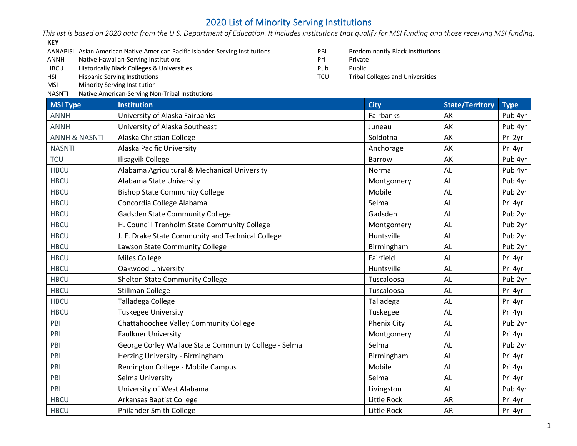*This list is based on 2020 data from the U.S. Department of Education. It includes institutions that qualify for MSI funding and those receiving MSI funding.* **KEY**

| KEY  |                                                                               |     |                                         |  |
|------|-------------------------------------------------------------------------------|-----|-----------------------------------------|--|
|      | AANAPISI Asian American Native American Pacific Islander-Serving Institutions | PBI | <b>Predominantly Black Institutions</b> |  |
| ANNH | Native Hawaiian-Serving Institutions                                          | Pri | Private                                 |  |
| HBCU | Historically Black Colleges & Universities                                    | Pub | Public                                  |  |
| HSI. | Hispanic Serving Institutions                                                 | τςυ | Tribal Colleges and Universities        |  |

MSI Minority Serving Institution

**ANNH** HBCU<br>HSI

NASNTI Native American-Serving Non-Tribal Institutions

| <b>MSI Type</b>          | <b>Institution</b>                                    | <b>City</b>        | <b>State/Territory</b> | <b>Type</b> |
|--------------------------|-------------------------------------------------------|--------------------|------------------------|-------------|
| <b>ANNH</b>              | University of Alaska Fairbanks                        | Fairbanks          | AK                     | Pub 4yr     |
| <b>ANNH</b>              | University of Alaska Southeast                        | Juneau             | AK                     | Pub 4yr     |
| <b>ANNH &amp; NASNTI</b> | Alaska Christian College                              | Soldotna           | AK                     | Pri 2yr     |
| <b>NASNTI</b>            | Alaska Pacific University                             | Anchorage          | AK                     | Pri 4yr     |
| <b>TCU</b>               | Ilisagvik College                                     | <b>Barrow</b>      | AK                     | Pub 4yr     |
| <b>HBCU</b>              | Alabama Agricultural & Mechanical University          | Normal             | AL                     | Pub 4yr     |
| <b>HBCU</b>              | Alabama State University                              | Montgomery         | AL                     | Pub 4yr     |
| <b>HBCU</b>              | <b>Bishop State Community College</b>                 | Mobile             | AL                     | Pub 2yr     |
| <b>HBCU</b>              | Concordia College Alabama                             | Selma              | AL                     | Pri 4yr     |
| <b>HBCU</b>              | <b>Gadsden State Community College</b>                | Gadsden            | AL                     | Pub 2yr     |
| <b>HBCU</b>              | H. Councill Trenholm State Community College          | Montgomery         | AL                     | Pub 2yr     |
| <b>HBCU</b>              | J. F. Drake State Community and Technical College     | Huntsville         | AL                     | Pub 2yr     |
| <b>HBCU</b>              | Lawson State Community College                        | Birmingham         | AL                     | Pub 2yr     |
| <b>HBCU</b>              | Miles College                                         | Fairfield          | AL                     | Pri 4yr     |
| <b>HBCU</b>              | Oakwood University                                    | Huntsville         | AL                     | Pri 4yr     |
| <b>HBCU</b>              | <b>Shelton State Community College</b>                | Tuscaloosa         | AL                     | Pub 2yr     |
| <b>HBCU</b>              | Stillman College                                      | Tuscaloosa         | AL                     | Pri 4yr     |
| <b>HBCU</b>              | Talladega College                                     | Talladega          | AL                     | Pri 4yr     |
| <b>HBCU</b>              | <b>Tuskegee University</b>                            | Tuskegee           | AL                     | Pri 4yr     |
| PBI                      | Chattahoochee Valley Community College                | <b>Phenix City</b> | AL                     | Pub 2yr     |
| PBI                      | <b>Faulkner University</b>                            | Montgomery         | AL                     | Pri 4yr     |
| PBI                      | George Corley Wallace State Community College - Selma | Selma              | AL                     | Pub 2yr     |
| PBI                      | Herzing University - Birmingham                       | Birmingham         | AL                     | Pri 4yr     |
| PBI                      | Remington College - Mobile Campus                     | Mobile             | AL                     | Pri 4yr     |
| PBI                      | Selma University                                      | Selma              | AL                     | Pri 4yr     |
| PBI                      | University of West Alabama                            | Livingston         | AL                     | Pub 4yr     |
| <b>HBCU</b>              | Arkansas Baptist College                              | Little Rock        | <b>AR</b>              | Pri 4yr     |
| <b>HBCU</b>              | <b>Philander Smith College</b>                        | Little Rock        | <b>AR</b>              | Pri 4yr     |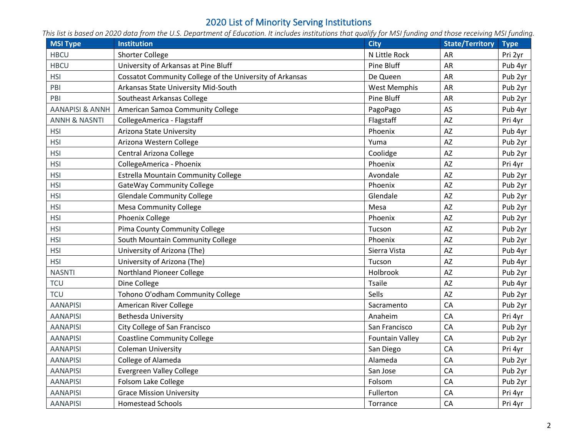| <b>MSI Type</b>            | <b>Institution</b>                                       | <b>City</b>            | <b>State/Territory</b> | <b>Type</b> |
|----------------------------|----------------------------------------------------------|------------------------|------------------------|-------------|
| <b>HBCU</b>                | <b>Shorter College</b>                                   | N Little Rock          | AR                     | Pri 2yr     |
| <b>HBCU</b>                | University of Arkansas at Pine Bluff                     | Pine Bluff             | AR                     | Pub 4yr     |
| <b>HSI</b>                 | Cossatot Community College of the University of Arkansas | De Queen               | AR                     | Pub 2yr     |
| PBI                        | Arkansas State University Mid-South                      | <b>West Memphis</b>    | AR                     | Pub 2yr     |
| PBI                        | Southeast Arkansas College                               | Pine Bluff             | <b>AR</b>              | Pub 2yr     |
| <b>AANAPISI &amp; ANNH</b> | American Samoa Community College                         | PagoPago               | AS                     | Pub 4yr     |
| <b>ANNH &amp; NASNTI</b>   | CollegeAmerica - Flagstaff                               | Flagstaff              | AZ                     | Pri 4yr     |
| <b>HSI</b>                 | Arizona State University                                 | Phoenix                | AZ                     | Pub 4yr     |
| <b>HSI</b>                 | Arizona Western College                                  | Yuma                   | AZ                     | Pub 2yr     |
| <b>HSI</b>                 | Central Arizona College                                  | Coolidge               | AZ                     | Pub 2yr     |
| <b>HSI</b>                 | CollegeAmerica - Phoenix                                 | Phoenix                | AZ                     | Pri 4yr     |
| <b>HSI</b>                 | Estrella Mountain Community College                      | Avondale               | <b>AZ</b>              | Pub 2yr     |
| <b>HSI</b>                 | <b>GateWay Community College</b>                         | Phoenix                | <b>AZ</b>              | Pub 2yr     |
| <b>HSI</b>                 | <b>Glendale Community College</b>                        | Glendale               | AZ                     | Pub 2yr     |
| <b>HSI</b>                 | <b>Mesa Community College</b>                            | Mesa                   | AZ                     | Pub 2yr     |
| <b>HSI</b>                 | Phoenix College                                          | Phoenix                | AZ                     | Pub 2yr     |
| <b>HSI</b>                 | Pima County Community College                            | Tucson                 | AZ                     | Pub 2yr     |
| <b>HSI</b>                 | South Mountain Community College                         | Phoenix                | AZ                     | Pub 2yr     |
| <b>HSI</b>                 | University of Arizona (The)                              | Sierra Vista           | AZ                     | Pub 4yr     |
| <b>HSI</b>                 | University of Arizona (The)                              | Tucson                 | AZ                     | Pub 4yr     |
| <b>NASNTI</b>              | Northland Pioneer College                                | Holbrook               | AZ                     | Pub 2yr     |
| <b>TCU</b>                 | Dine College                                             | Tsaile                 | AZ                     | Pub 4yr     |
| <b>TCU</b>                 | Tohono O'odham Community College                         | Sells                  | AZ                     | Pub 2yr     |
| <b>AANAPISI</b>            | <b>American River College</b>                            | Sacramento             | CA                     | Pub 2yr     |
| <b>AANAPISI</b>            | <b>Bethesda University</b>                               | Anaheim                | CA                     | Pri 4yr     |
| <b>AANAPISI</b>            | City College of San Francisco                            | San Francisco          | CA                     | Pub 2yr     |
| <b>AANAPISI</b>            | <b>Coastline Community College</b>                       | <b>Fountain Valley</b> | CA                     | Pub 2yr     |
| <b>AANAPISI</b>            | <b>Coleman University</b>                                | San Diego              | CA                     | Pri 4yr     |
| <b>AANAPISI</b>            | College of Alameda                                       | Alameda                | CA                     | Pub 2yr     |
| <b>AANAPISI</b>            | <b>Evergreen Valley College</b>                          | San Jose               | CA                     | Pub 2yr     |
| <b>AANAPISI</b>            | Folsom Lake College                                      | Folsom                 | CA                     | Pub 2yr     |
| <b>AANAPISI</b>            | <b>Grace Mission University</b>                          | Fullerton              | CA                     | Pri 4yr     |
| <b>AANAPISI</b>            | <b>Homestead Schools</b>                                 | Torrance               | CA                     | Pri 4yr     |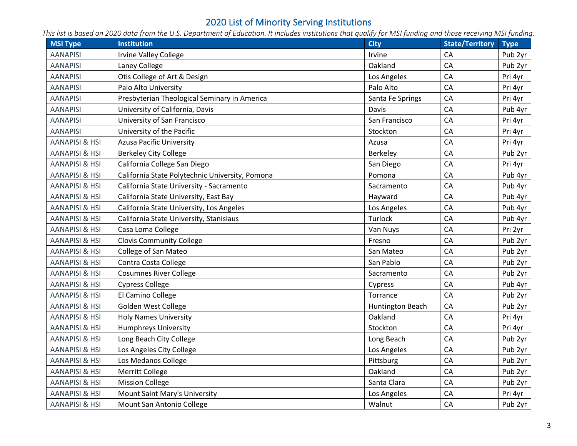| <b>MSI Type</b>           | monic is based on zozo autu point the 6.5. Deputation of Eudeution, it includes institutions that qualify for morphmanig and those recenting morphmanig<br><b>Institution</b> | <b>City</b>      | <b>State/Territory</b> | <b>Type</b> |
|---------------------------|-------------------------------------------------------------------------------------------------------------------------------------------------------------------------------|------------------|------------------------|-------------|
| <b>AANAPISI</b>           | <b>Irvine Valley College</b>                                                                                                                                                  | Irvine           | CA                     | Pub 2yr     |
| <b>AANAPISI</b>           | Laney College                                                                                                                                                                 | Oakland          | CA                     | Pub 2yr     |
| <b>AANAPISI</b>           | Otis College of Art & Design                                                                                                                                                  | Los Angeles      | CA                     | Pri 4yr     |
| <b>AANAPISI</b>           | Palo Alto University                                                                                                                                                          | Palo Alto        | CA                     | Pri 4yr     |
| <b>AANAPISI</b>           | Presbyterian Theological Seminary in America                                                                                                                                  | Santa Fe Springs | CA                     | Pri 4yr     |
| <b>AANAPISI</b>           | University of California, Davis                                                                                                                                               | Davis            | CA                     | Pub 4yr     |
| <b>AANAPISI</b>           | University of San Francisco                                                                                                                                                   | San Francisco    | CA                     | Pri 4yr     |
| AANAPISI                  | University of the Pacific                                                                                                                                                     | Stockton         | CA                     | Pri 4yr     |
| <b>AANAPISI &amp; HSI</b> | <b>Azusa Pacific University</b>                                                                                                                                               | Azusa            | CA                     | Pri 4yr     |
| <b>AANAPISI &amp; HSI</b> | <b>Berkeley City College</b>                                                                                                                                                  | Berkeley         | CA                     | Pub 2yr     |
| <b>AANAPISI &amp; HSI</b> | California College San Diego                                                                                                                                                  | San Diego        | CA                     | Pri 4yr     |
| <b>AANAPISI &amp; HSI</b> | California State Polytechnic University, Pomona                                                                                                                               | Pomona           | CA                     | Pub 4yr     |
| <b>AANAPISI &amp; HSI</b> | California State University - Sacramento                                                                                                                                      | Sacramento       | CA                     | Pub 4yr     |
| <b>AANAPISI &amp; HSI</b> | California State University, East Bay                                                                                                                                         | Hayward          | CA                     | Pub 4yr     |
| <b>AANAPISI &amp; HSI</b> | California State University, Los Angeles                                                                                                                                      | Los Angeles      | CA                     | Pub 4yr     |
| <b>AANAPISI &amp; HSI</b> | California State University, Stanislaus                                                                                                                                       | Turlock          | CA                     | Pub 4yr     |
| <b>AANAPISI &amp; HSI</b> | Casa Loma College                                                                                                                                                             | Van Nuys         | CA                     | Pri 2yr     |
| <b>AANAPISI &amp; HSI</b> | <b>Clovis Community College</b>                                                                                                                                               | Fresno           | CA                     | Pub 2yr     |
| <b>AANAPISI &amp; HSI</b> | College of San Mateo                                                                                                                                                          | San Mateo        | CA                     | Pub 2yr     |
| <b>AANAPISI &amp; HSI</b> | Contra Costa College                                                                                                                                                          | San Pablo        | CA                     | Pub 2yr     |
| <b>AANAPISI &amp; HSI</b> | <b>Cosumnes River College</b>                                                                                                                                                 | Sacramento       | CA                     | Pub 2yr     |
| <b>AANAPISI &amp; HSI</b> | <b>Cypress College</b>                                                                                                                                                        | Cypress          | CA                     | Pub 4yr     |
| <b>AANAPISI &amp; HSI</b> | El Camino College                                                                                                                                                             | Torrance         | CA                     | Pub 2yr     |
| <b>AANAPISI &amp; HSI</b> | Golden West College                                                                                                                                                           | Huntington Beach | CA                     | Pub 2yr     |
| <b>AANAPISI &amp; HSI</b> | <b>Holy Names University</b>                                                                                                                                                  | Oakland          | CA                     | Pri 4yr     |
| <b>AANAPISI &amp; HSI</b> | <b>Humphreys University</b>                                                                                                                                                   | Stockton         | CA                     | Pri 4yr     |
| <b>AANAPISI &amp; HSI</b> | Long Beach City College                                                                                                                                                       | Long Beach       | CA                     | Pub 2yr     |
| <b>AANAPISI &amp; HSI</b> | Los Angeles City College                                                                                                                                                      | Los Angeles      | CA                     | Pub 2yr     |
| <b>AANAPISI &amp; HSI</b> | Los Medanos College                                                                                                                                                           | Pittsburg        | CA                     | Pub 2yr     |
| <b>AANAPISI &amp; HSI</b> | Merritt College                                                                                                                                                               | Oakland          | CA                     | Pub 2yr     |
| <b>AANAPISI &amp; HSI</b> | <b>Mission College</b>                                                                                                                                                        | Santa Clara      | CA                     | Pub 2yr     |
| <b>AANAPISI &amp; HSI</b> | Mount Saint Mary's University                                                                                                                                                 | Los Angeles      | CA                     | Pri 4yr     |
| <b>AANAPISI &amp; HSI</b> | Mount San Antonio College                                                                                                                                                     | Walnut           | CA                     | Pub 2yr     |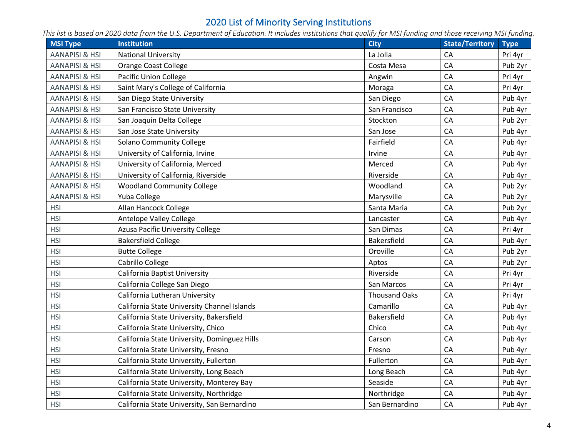| <b>MSI Type</b>           | Institution                                  | <b>City</b>          | <b>State/Territory</b> | <b>Type</b> |
|---------------------------|----------------------------------------------|----------------------|------------------------|-------------|
| <b>AANAPISI &amp; HSI</b> | <b>National University</b>                   | La Jolla             | CA                     | Pri 4yr     |
| <b>AANAPISI &amp; HSI</b> | <b>Orange Coast College</b>                  | Costa Mesa           | CA                     | Pub 2yr     |
| <b>AANAPISI &amp; HSI</b> | <b>Pacific Union College</b>                 | Angwin               | CA                     | Pri 4yr     |
| <b>AANAPISI &amp; HSI</b> | Saint Mary's College of California           | Moraga               | CA                     | Pri 4yr     |
| <b>AANAPISI &amp; HSI</b> | San Diego State University                   | San Diego            | CA                     | Pub 4yr     |
| <b>AANAPISI &amp; HSI</b> | San Francisco State University               | San Francisco        | CA                     | Pub 4yr     |
| <b>AANAPISI &amp; HSI</b> | San Joaquin Delta College                    | Stockton             | CA                     | Pub 2yr     |
| <b>AANAPISI &amp; HSI</b> | San Jose State University                    | San Jose             | CA                     | Pub 4yr     |
| <b>AANAPISI &amp; HSI</b> | <b>Solano Community College</b>              | Fairfield            | CA                     | Pub 4yr     |
| <b>AANAPISI &amp; HSI</b> | University of California, Irvine             | Irvine               | CA                     | Pub 4yr     |
| <b>AANAPISI &amp; HSI</b> | University of California, Merced             | Merced               | CA                     | Pub 4yr     |
| <b>AANAPISI &amp; HSI</b> | University of California, Riverside          | Riverside            | CA                     | Pub 4yr     |
| <b>AANAPISI &amp; HSI</b> | <b>Woodland Community College</b>            | Woodland             | CA                     | Pub 2yr     |
| <b>AANAPISI &amp; HSI</b> | Yuba College                                 | Marysville           | CA                     | Pub 2yr     |
| <b>HSI</b>                | Allan Hancock College                        | Santa Maria          | CA                     | Pub 2yr     |
| <b>HSI</b>                | <b>Antelope Valley College</b>               | Lancaster            | CA                     | Pub 4yr     |
| <b>HSI</b>                | <b>Azusa Pacific University College</b>      | San Dimas            | CA                     | Pri 4yr     |
| <b>HSI</b>                | <b>Bakersfield College</b>                   | Bakersfield          | CA                     | Pub 4yr     |
| <b>HSI</b>                | <b>Butte College</b>                         | Oroville             | CA                     | Pub 2yr     |
| <b>HSI</b>                | Cabrillo College                             | Aptos                | CA                     | Pub 2yr     |
| <b>HSI</b>                | California Baptist University                | Riverside            | CA                     | Pri 4yr     |
| <b>HSI</b>                | California College San Diego                 | San Marcos           | CA                     | Pri 4yr     |
| <b>HSI</b>                | California Lutheran University               | <b>Thousand Oaks</b> | CA                     | Pri 4yr     |
| <b>HSI</b>                | California State University Channel Islands  | Camarillo            | CA                     | Pub 4yr     |
| <b>HSI</b>                | California State University, Bakersfield     | Bakersfield          | CA                     | Pub 4yr     |
| <b>HSI</b>                | California State University, Chico           | Chico                | CA                     | Pub 4yr     |
| <b>HSI</b>                | California State University, Dominguez Hills | Carson               | CA                     | Pub 4yr     |
| <b>HSI</b>                | California State University, Fresno          | Fresno               | CA                     | Pub 4yr     |
| <b>HSI</b>                | California State University, Fullerton       | Fullerton            | CA                     | Pub 4yr     |
| <b>HSI</b>                | California State University, Long Beach      | Long Beach           | CA                     | Pub 4yr     |
| <b>HSI</b>                | California State University, Monterey Bay    | Seaside              | CA                     | Pub 4yr     |
| <b>HSI</b>                | California State University, Northridge      | Northridge           | CA                     | Pub 4yr     |
| <b>HSI</b>                | California State University, San Bernardino  | San Bernardino       | CA                     | Pub 4yr     |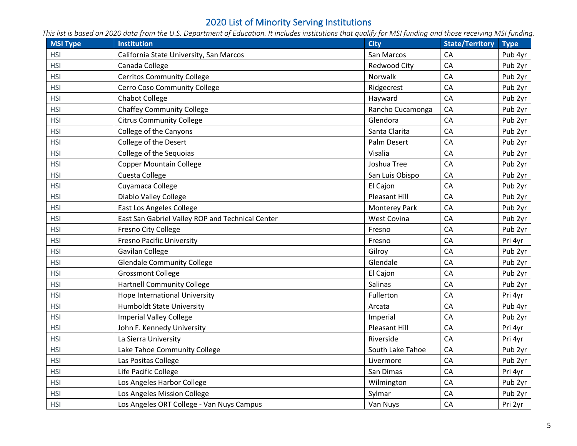| <b>MSI Type</b> | adica <sub>p</sub> , enn inc ener e ep ar innenii e <sub>p</sub> Eadiediism ni me<br><b>Institution</b> | <b>City</b>          | <b>State/Territory</b> | <b>Type</b> |
|-----------------|---------------------------------------------------------------------------------------------------------|----------------------|------------------------|-------------|
| <b>HSI</b>      | California State University, San Marcos                                                                 | San Marcos           | CA                     | Pub 4yr     |
| <b>HSI</b>      | Canada College                                                                                          | <b>Redwood City</b>  | CA                     | Pub 2yr     |
| <b>HSI</b>      | <b>Cerritos Community College</b>                                                                       | Norwalk              | CA                     | Pub 2yr     |
| <b>HSI</b>      | Cerro Coso Community College                                                                            | Ridgecrest           | CA                     | Pub 2yr     |
| <b>HSI</b>      | <b>Chabot College</b>                                                                                   | Hayward              | CA                     | Pub 2yr     |
| <b>HSI</b>      | <b>Chaffey Community College</b>                                                                        | Rancho Cucamonga     | CA                     | Pub 2yr     |
| <b>HSI</b>      | <b>Citrus Community College</b>                                                                         | Glendora             | CA                     | Pub 2yr     |
| <b>HSI</b>      | College of the Canyons                                                                                  | Santa Clarita        | CA                     | Pub 2yr     |
| <b>HSI</b>      | College of the Desert                                                                                   | Palm Desert          | CA                     | Pub 2yr     |
| <b>HSI</b>      | College of the Sequoias                                                                                 | Visalia              | CA                     | Pub 2yr     |
| <b>HSI</b>      | <b>Copper Mountain College</b>                                                                          | Joshua Tree          | CA                     | Pub 2yr     |
| <b>HSI</b>      | Cuesta College                                                                                          | San Luis Obispo      | CA                     | Pub 2yr     |
| <b>HSI</b>      | Cuyamaca College                                                                                        | El Cajon             | CA                     | Pub 2yr     |
| <b>HSI</b>      | <b>Diablo Valley College</b>                                                                            | <b>Pleasant Hill</b> | CA                     | Pub 2yr     |
| <b>HSI</b>      | East Los Angeles College                                                                                | <b>Monterey Park</b> | CA                     | Pub 2yr     |
| <b>HSI</b>      | East San Gabriel Valley ROP and Technical Center                                                        | West Covina          | CA                     | Pub 2yr     |
| <b>HSI</b>      | Fresno City College                                                                                     | Fresno               | CA                     | Pub 2yr     |
| <b>HSI</b>      | <b>Fresno Pacific University</b>                                                                        | Fresno               | CA                     | Pri 4yr     |
| <b>HSI</b>      | Gavilan College                                                                                         | Gilroy               | CA                     | Pub 2yr     |
| <b>HSI</b>      | <b>Glendale Community College</b>                                                                       | Glendale             | CA                     | Pub 2yr     |
| <b>HSI</b>      | <b>Grossmont College</b>                                                                                | El Cajon             | CA                     | Pub 2yr     |
| <b>HSI</b>      | <b>Hartnell Community College</b>                                                                       | Salinas              | CA                     | Pub 2yr     |
| <b>HSI</b>      | Hope International University                                                                           | Fullerton            | CA                     | Pri 4yr     |
| <b>HSI</b>      | <b>Humboldt State University</b>                                                                        | Arcata               | CA                     | Pub 4yr     |
| <b>HSI</b>      | <b>Imperial Valley College</b>                                                                          | Imperial             | CA                     | Pub 2yr     |
| <b>HSI</b>      | John F. Kennedy University                                                                              | <b>Pleasant Hill</b> | CA                     | Pri 4yr     |
| <b>HSI</b>      | La Sierra University                                                                                    | Riverside            | CA                     | Pri 4yr     |
| <b>HSI</b>      | Lake Tahoe Community College                                                                            | South Lake Tahoe     | CA                     | Pub 2yr     |
| <b>HSI</b>      | Las Positas College                                                                                     | Livermore            | CA                     | Pub 2yr     |
| <b>HSI</b>      | Life Pacific College                                                                                    | San Dimas            | CA                     | Pri 4yr     |
| <b>HSI</b>      | Los Angeles Harbor College                                                                              | Wilmington           | CA                     | Pub 2yr     |
| <b>HSI</b>      | Los Angeles Mission College                                                                             | Sylmar               | CA                     | Pub 2yr     |
| <b>HSI</b>      | Los Angeles ORT College - Van Nuys Campus                                                               | Van Nuys             | CA                     | Pri 2yr     |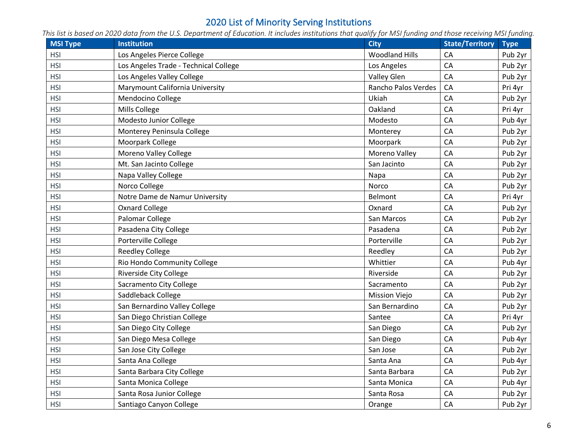| <b>MSI Type</b> | <b>Institution</b>                    | <b>City</b>           | <b>State/Territory</b> | <b>Type</b> |
|-----------------|---------------------------------------|-----------------------|------------------------|-------------|
| <b>HSI</b>      | Los Angeles Pierce College            | <b>Woodland Hills</b> | CA                     | Pub 2yr     |
| <b>HSI</b>      | Los Angeles Trade - Technical College | Los Angeles           | CA                     | Pub 2yr     |
| <b>HSI</b>      | Los Angeles Valley College            | Valley Glen           | CA                     | Pub 2yr     |
| <b>HSI</b>      | Marymount California University       | Rancho Palos Verdes   | CA                     | Pri 4yr     |
| <b>HSI</b>      | Mendocino College                     | Ukiah                 | CA                     | Pub 2yr     |
| <b>HSI</b>      | Mills College                         | Oakland               | CA                     | Pri 4yr     |
| <b>HSI</b>      | Modesto Junior College                | Modesto               | CA                     | Pub 4yr     |
| <b>HSI</b>      | Monterey Peninsula College            | Monterey              | CA                     | Pub 2yr     |
| <b>HSI</b>      | Moorpark College                      | Moorpark              | CA                     | Pub 2yr     |
| <b>HSI</b>      | Moreno Valley College                 | Moreno Valley         | CA                     | Pub 2yr     |
| <b>HSI</b>      | Mt. San Jacinto College               | San Jacinto           | CA                     | Pub 2yr     |
| <b>HSI</b>      | Napa Valley College                   | Napa                  | CA                     | Pub 2yr     |
| <b>HSI</b>      | Norco College                         | Norco                 | CA                     | Pub 2yr     |
| <b>HSI</b>      | Notre Dame de Namur University        | Belmont               | CA                     | Pri 4yr     |
| <b>HSI</b>      | <b>Oxnard College</b>                 | Oxnard                | CA                     | Pub 2yr     |
| <b>HSI</b>      | Palomar College                       | San Marcos            | CA                     | Pub 2yr     |
| <b>HSI</b>      | Pasadena City College                 | Pasadena              | CA                     | Pub 2yr     |
| <b>HSI</b>      | Porterville College                   | Porterville           | CA                     | Pub 2yr     |
| <b>HSI</b>      | <b>Reedley College</b>                | Reedley               | CA                     | Pub 2yr     |
| <b>HSI</b>      | Rio Hondo Community College           | Whittier              | CA                     | Pub 4yr     |
| <b>HSI</b>      | <b>Riverside City College</b>         | Riverside             | CA                     | Pub 2yr     |
| <b>HSI</b>      | Sacramento City College               | Sacramento            | CA                     | Pub 2yr     |
| <b>HSI</b>      | Saddleback College                    | <b>Mission Viejo</b>  | CA                     | Pub 2yr     |
| <b>HSI</b>      | San Bernardino Valley College         | San Bernardino        | CA                     | Pub 2yr     |
| <b>HSI</b>      | San Diego Christian College           | Santee                | CA                     | Pri 4yr     |
| <b>HSI</b>      | San Diego City College                | San Diego             | CA                     | Pub 2yr     |
| <b>HSI</b>      | San Diego Mesa College                | San Diego             | CA                     | Pub 4yr     |
| <b>HSI</b>      | San Jose City College                 | San Jose              | CA                     | Pub 2yr     |
| <b>HSI</b>      | Santa Ana College                     | Santa Ana             | CA                     | Pub 4yr     |
| <b>HSI</b>      | Santa Barbara City College            | Santa Barbara         | CA                     | Pub 2yr     |
| <b>HSI</b>      | Santa Monica College                  | Santa Monica          | CA                     | Pub 4yr     |
| <b>HSI</b>      | Santa Rosa Junior College             | Santa Rosa            | CA                     | Pub 2yr     |
| <b>HSI</b>      | Santiago Canyon College               | Orange                | CA                     | Pub 2yr     |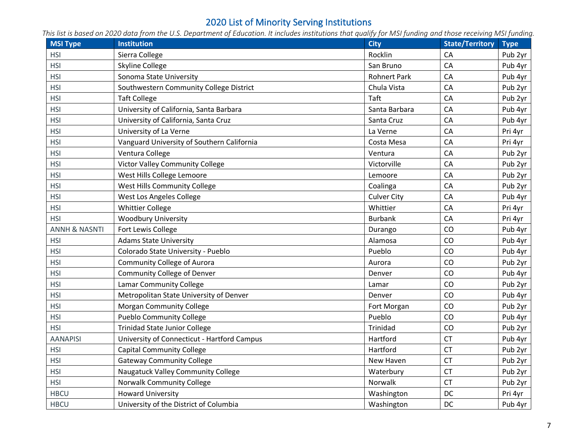| <b>MSI Type</b>          | on Echo aata jilom the bibi bepartment of Eadoation. It molades motitations that quanjy jor mor janunity and<br><b>Institution</b> | <b>City</b>         | <b>State/Territory</b> | <b>Type</b> |
|--------------------------|------------------------------------------------------------------------------------------------------------------------------------|---------------------|------------------------|-------------|
| <b>HSI</b>               | Sierra College                                                                                                                     | Rocklin             | CA                     | Pub 2yr     |
| <b>HSI</b>               | Skyline College                                                                                                                    | San Bruno           | CA                     | Pub 4yr     |
| <b>HSI</b>               | Sonoma State University                                                                                                            | <b>Rohnert Park</b> | CA                     | Pub 4yr     |
| <b>HSI</b>               | Southwestern Community College District                                                                                            | Chula Vista         | CA                     | Pub 2yr     |
| <b>HSI</b>               | <b>Taft College</b>                                                                                                                | Taft                | CA                     | Pub 2yr     |
| <b>HSI</b>               | University of California, Santa Barbara                                                                                            | Santa Barbara       | CA                     | Pub 4yr     |
| <b>HSI</b>               | University of California, Santa Cruz                                                                                               | Santa Cruz          | CA                     | Pub 4yr     |
| <b>HSI</b>               | University of La Verne                                                                                                             | La Verne            | CA                     | Pri 4yr     |
| <b>HSI</b>               | Vanguard University of Southern California                                                                                         | Costa Mesa          | CA                     | Pri 4yr     |
| <b>HSI</b>               | Ventura College                                                                                                                    | Ventura             | CA                     | Pub 2yr     |
| <b>HSI</b>               | <b>Victor Valley Community College</b>                                                                                             | Victorville         | CA                     | Pub 2yr     |
| <b>HSI</b>               | West Hills College Lemoore                                                                                                         | Lemoore             | CA                     | Pub 2yr     |
| <b>HSI</b>               | West Hills Community College                                                                                                       | Coalinga            | CA                     | Pub 2yr     |
| <b>HSI</b>               | West Los Angeles College                                                                                                           | <b>Culver City</b>  | CA                     | Pub 4yr     |
| <b>HSI</b>               | <b>Whittier College</b>                                                                                                            | Whittier            | CA                     | Pri 4yr     |
| <b>HSI</b>               | <b>Woodbury University</b>                                                                                                         | <b>Burbank</b>      | CA                     | Pri 4yr     |
| <b>ANNH &amp; NASNTI</b> | Fort Lewis College                                                                                                                 | Durango             | CO                     | Pub 4yr     |
| <b>HSI</b>               | <b>Adams State University</b>                                                                                                      | Alamosa             | CO                     | Pub 4yr     |
| <b>HSI</b>               | Colorado State University - Pueblo                                                                                                 | Pueblo              | CO                     | Pub 4yr     |
| <b>HSI</b>               | <b>Community College of Aurora</b>                                                                                                 | Aurora              | CO                     | Pub 2yr     |
| <b>HSI</b>               | <b>Community College of Denver</b>                                                                                                 | Denver              | CO                     | Pub 4yr     |
| <b>HSI</b>               | Lamar Community College                                                                                                            | Lamar               | CO                     | Pub 2yr     |
| <b>HSI</b>               | Metropolitan State University of Denver                                                                                            | Denver              | CO                     | Pub 4yr     |
| <b>HSI</b>               | <b>Morgan Community College</b>                                                                                                    | Fort Morgan         | CO                     | Pub 2yr     |
| <b>HSI</b>               | <b>Pueblo Community College</b>                                                                                                    | Pueblo              | CO                     | Pub 4yr     |
| <b>HSI</b>               | <b>Trinidad State Junior College</b>                                                                                               | Trinidad            | CO                     | Pub 2yr     |
| <b>AANAPISI</b>          | University of Connecticut - Hartford Campus                                                                                        | Hartford            | <b>CT</b>              | Pub 4yr     |
| <b>HSI</b>               | <b>Capital Community College</b>                                                                                                   | Hartford            | <b>CT</b>              | Pub 2yr     |
| <b>HSI</b>               | <b>Gateway Community College</b>                                                                                                   | New Haven           | <b>CT</b>              | Pub 2yr     |
| <b>HSI</b>               | <b>Naugatuck Valley Community College</b>                                                                                          | Waterbury           | <b>CT</b>              | Pub 2yr     |
| <b>HSI</b>               | <b>Norwalk Community College</b>                                                                                                   | Norwalk             | <b>CT</b>              | Pub 2yr     |
| <b>HBCU</b>              | <b>Howard University</b>                                                                                                           | Washington          | DC                     | Pri 4yr     |
| <b>HBCU</b>              | University of the District of Columbia                                                                                             | Washington          | DC                     | Pub 4yr     |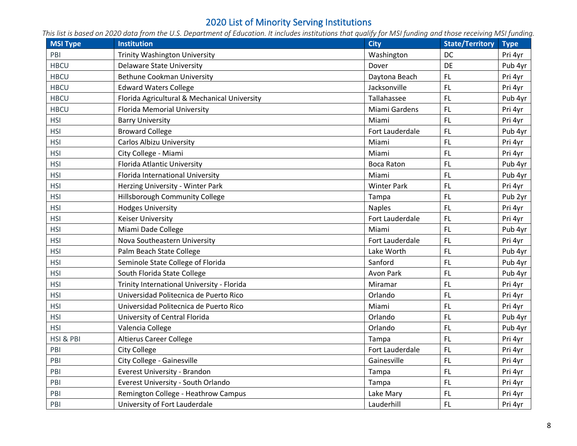| <b>MSI Type</b> | on Ecco aata point the city bepartment of Eadoution, it molades motitations that quang for morphrismig and those receiving morphram<br><b>Institution</b> | <b>City</b>        | <b>State/Territory</b> | <b>Type</b> |
|-----------------|-----------------------------------------------------------------------------------------------------------------------------------------------------------|--------------------|------------------------|-------------|
| PBI             | <b>Trinity Washington University</b>                                                                                                                      | Washington         | DC                     | Pri 4yr     |
| <b>HBCU</b>     | <b>Delaware State University</b>                                                                                                                          | Dover              | DE                     | Pub 4yr     |
| <b>HBCU</b>     | <b>Bethune Cookman University</b>                                                                                                                         | Daytona Beach      | FL.                    | Pri 4yr     |
| <b>HBCU</b>     | <b>Edward Waters College</b>                                                                                                                              | Jacksonville       | FL.                    | Pri 4yr     |
| <b>HBCU</b>     | Florida Agricultural & Mechanical University                                                                                                              | Tallahassee        | <b>FL</b>              | Pub 4yr     |
| <b>HBCU</b>     | <b>Florida Memorial University</b>                                                                                                                        | Miami Gardens      | <b>FL</b>              | Pri 4yr     |
| <b>HSI</b>      | <b>Barry University</b>                                                                                                                                   | Miami              | <b>FL</b>              | Pri 4yr     |
| <b>HSI</b>      | <b>Broward College</b>                                                                                                                                    | Fort Lauderdale    | FL.                    | Pub 4yr     |
| <b>HSI</b>      | <b>Carlos Albizu University</b>                                                                                                                           | Miami              | FL                     | Pri 4yr     |
| <b>HSI</b>      | City College - Miami                                                                                                                                      | Miami              | FL.                    | Pri 4yr     |
| <b>HSI</b>      | Florida Atlantic University                                                                                                                               | Boca Raton         | <b>FL</b>              | Pub 4yr     |
| <b>HSI</b>      | Florida International University                                                                                                                          | Miami              | <b>FL</b>              | Pub 4yr     |
| <b>HSI</b>      | Herzing University - Winter Park                                                                                                                          | <b>Winter Park</b> | <b>FL</b>              | Pri 4yr     |
| <b>HSI</b>      | Hillsborough Community College                                                                                                                            | Tampa              | <b>FL</b>              | Pub 2yr     |
| <b>HSI</b>      | <b>Hodges University</b>                                                                                                                                  | <b>Naples</b>      | <b>FL</b>              | Pri 4yr     |
| <b>HSI</b>      | <b>Keiser University</b>                                                                                                                                  | Fort Lauderdale    | <b>FL</b>              | Pri 4yr     |
| <b>HSI</b>      | Miami Dade College                                                                                                                                        | Miami              | <b>FL</b>              | Pub 4yr     |
| <b>HSI</b>      | Nova Southeastern University                                                                                                                              | Fort Lauderdale    | FL.                    | Pri 4yr     |
| <b>HSI</b>      | Palm Beach State College                                                                                                                                  | Lake Worth         | <b>FL</b>              | Pub 4yr     |
| <b>HSI</b>      | Seminole State College of Florida                                                                                                                         | Sanford            | <b>FL</b>              | Pub 4yr     |
| <b>HSI</b>      | South Florida State College                                                                                                                               | Avon Park          | <b>FL</b>              | Pub 4yr     |
| <b>HSI</b>      | Trinity International University - Florida                                                                                                                | Miramar            | <b>FL</b>              | Pri 4yr     |
| <b>HSI</b>      | Universidad Politecnica de Puerto Rico                                                                                                                    | Orlando            | <b>FL</b>              | Pri 4yr     |
| <b>HSI</b>      | Universidad Politecnica de Puerto Rico                                                                                                                    | Miami              | <b>FL</b>              | Pri 4yr     |
| <b>HSI</b>      | University of Central Florida                                                                                                                             | Orlando            | <b>FL</b>              | Pub 4yr     |
| <b>HSI</b>      | Valencia College                                                                                                                                          | Orlando            | <b>FL</b>              | Pub 4yr     |
| HSI & PBI       | <b>Altierus Career College</b>                                                                                                                            | Tampa              | <b>FL</b>              | Pri 4yr     |
| PBI             | <b>City College</b>                                                                                                                                       | Fort Lauderdale    | <b>FL</b>              | Pri 4yr     |
| PBI             | City College - Gainesville                                                                                                                                | Gainesville        | FL.                    | Pri 4yr     |
| PBI             | Everest University - Brandon                                                                                                                              | Tampa              | FL.                    | Pri 4yr     |
| PBI             | Everest University - South Orlando                                                                                                                        | Tampa              | <b>FL</b>              | Pri 4yr     |
| PBI             | Remington College - Heathrow Campus                                                                                                                       | Lake Mary          | <b>FL</b>              | Pri 4yr     |
| PBI             | University of Fort Lauderdale                                                                                                                             | Lauderhill         | <b>FL</b>              | Pri 4yr     |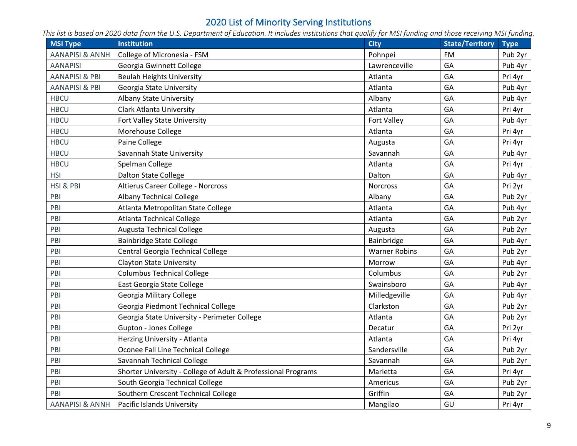| <b>MSI Type</b>            | <b>Institution</b>                                            | <b>City</b>          | <b>State/Territory</b> | <b>Type</b> |
|----------------------------|---------------------------------------------------------------|----------------------|------------------------|-------------|
| <b>AANAPISI &amp; ANNH</b> | College of Micronesia - FSM                                   | Pohnpei              | <b>FM</b>              | Pub 2yr     |
| <b>AANAPISI</b>            | Georgia Gwinnett College                                      | Lawrenceville        | GA                     | Pub 4yr     |
| <b>AANAPISI &amp; PBI</b>  | <b>Beulah Heights University</b>                              | Atlanta              | GA                     | Pri 4yr     |
| <b>AANAPISI &amp; PBI</b>  | Georgia State University                                      | Atlanta              | GA                     | Pub 4yr     |
| <b>HBCU</b>                | <b>Albany State University</b>                                | Albany               | GA                     | Pub 4yr     |
| <b>HBCU</b>                | <b>Clark Atlanta University</b>                               | Atlanta              | GA                     | Pri 4yr     |
| <b>HBCU</b>                | Fort Valley State University                                  | <b>Fort Valley</b>   | GA                     | Pub 4yr     |
| <b>HBCU</b>                | Morehouse College                                             | Atlanta              | GA                     | Pri 4yr     |
| <b>HBCU</b>                | Paine College                                                 | Augusta              | GA                     | Pri 4yr     |
| <b>HBCU</b>                | Savannah State University                                     | Savannah             | GA                     | Pub 4yr     |
| <b>HBCU</b>                | Spelman College                                               | Atlanta              | GA                     | Pri 4yr     |
| <b>HSI</b>                 | Dalton State College                                          | Dalton               | GA                     | Pub 4yr     |
| HSI & PBI                  | Altierus Career College - Norcross                            | <b>Norcross</b>      | GA                     | Pri 2yr     |
| PBI                        | <b>Albany Technical College</b>                               | Albany               | GA                     | Pub 2yr     |
| PBI                        | Atlanta Metropolitan State College                            | Atlanta              | GA                     | Pub 4yr     |
| PBI                        | <b>Atlanta Technical College</b>                              | Atlanta              | GA                     | Pub 2yr     |
| PBI                        | Augusta Technical College                                     | Augusta              | GA                     | Pub 2yr     |
| PBI                        | <b>Bainbridge State College</b>                               | Bainbridge           | GA                     | Pub 4yr     |
| PBI                        | Central Georgia Technical College                             | <b>Warner Robins</b> | GA                     | Pub 2yr     |
| PBI                        | <b>Clayton State University</b>                               | Morrow               | GA                     | Pub 4yr     |
| PBI                        | <b>Columbus Technical College</b>                             | Columbus             | GA                     | Pub 2yr     |
| PBI                        | East Georgia State College                                    | Swainsboro           | GA                     | Pub 4yr     |
| PBI                        | Georgia Military College                                      | Milledgeville        | GA                     | Pub 4yr     |
| PBI                        | Georgia Piedmont Technical College                            | Clarkston            | GA                     | Pub 2yr     |
| PBI                        | Georgia State University - Perimeter College                  | Atlanta              | GA                     | Pub 2yr     |
| PBI                        | Gupton - Jones College                                        | Decatur              | GA                     | Pri 2yr     |
| PBI                        | Herzing University - Atlanta                                  | Atlanta              | GA                     | Pri 4yr     |
| PBI                        | Oconee Fall Line Technical College                            | Sandersville         | GA                     | Pub 2yr     |
| PBI                        | Savannah Technical College                                    | Savannah             | GA                     | Pub 2yr     |
| PBI                        | Shorter University - College of Adult & Professional Programs | Marietta             | GA                     | Pri 4yr     |
| PBI                        | South Georgia Technical College                               | Americus             | GA                     | Pub 2yr     |
| PBI                        | Southern Crescent Technical College                           | Griffin              | GA                     | Pub 2yr     |
| <b>AANAPISI &amp; ANNH</b> | Pacific Islands University                                    | Mangilao             | GU                     | Pri 4yr     |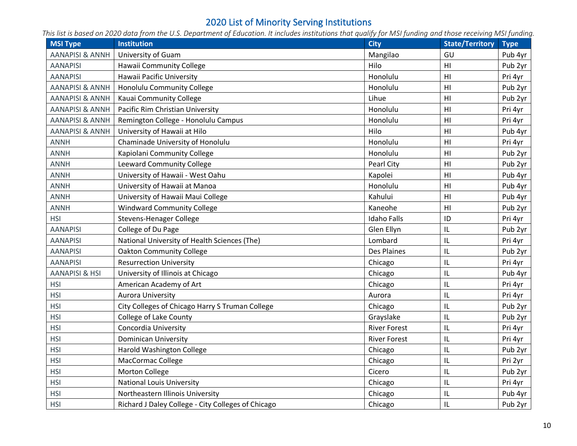| <b>MSI Type</b>            | rno iocio basea on zozo uuta jrom the o.s. Department of Laucation. It includes institutions that quanjy for morfamily and those receiving morfamily<br><b>Institution</b> | <b>City</b>         | <b>State/Territory</b>            | <b>Type</b> |
|----------------------------|----------------------------------------------------------------------------------------------------------------------------------------------------------------------------|---------------------|-----------------------------------|-------------|
| <b>AANAPISI &amp; ANNH</b> | University of Guam                                                                                                                                                         | Mangilao            | GU                                | Pub 4yr     |
| <b>AANAPISI</b>            | Hawaii Community College                                                                                                                                                   | Hilo                | H <sub>l</sub>                    | Pub 2yr     |
| <b>AANAPISI</b>            | Hawaii Pacific University                                                                                                                                                  | Honolulu            | H <sub>l</sub>                    | Pri 4yr     |
| <b>AANAPISI &amp; ANNH</b> | Honolulu Community College                                                                                                                                                 | Honolulu            | H <sub>l</sub>                    | Pub 2yr     |
| <b>AANAPISI &amp; ANNH</b> | Kauai Community College                                                                                                                                                    | Lihue               | H <sub>l</sub>                    | Pub 2yr     |
| <b>AANAPISI &amp; ANNH</b> | Pacific Rim Christian University                                                                                                                                           | Honolulu            | H <sub>l</sub>                    | Pri 4yr     |
| <b>AANAPISI &amp; ANNH</b> | Remington College - Honolulu Campus                                                                                                                                        | Honolulu            | H <sub>l</sub>                    | Pri 4yr     |
| <b>AANAPISI &amp; ANNH</b> | University of Hawaii at Hilo                                                                                                                                               | Hilo                | H <sub>l</sub>                    | Pub 4yr     |
| <b>ANNH</b>                | Chaminade University of Honolulu                                                                                                                                           | Honolulu            | H <sub>l</sub>                    | Pri 4yr     |
| <b>ANNH</b>                | Kapiolani Community College                                                                                                                                                | Honolulu            | H <sub>l</sub>                    | Pub 2yr     |
| <b>ANNH</b>                | <b>Leeward Community College</b>                                                                                                                                           | Pearl City          | H <sub>l</sub>                    | Pub 2yr     |
| <b>ANNH</b>                | University of Hawaii - West Oahu                                                                                                                                           | Kapolei             | H <sub>l</sub>                    | Pub 4yr     |
| <b>ANNH</b>                | University of Hawaii at Manoa                                                                                                                                              | Honolulu            | H <sub>l</sub>                    | Pub 4yr     |
| <b>ANNH</b>                | University of Hawaii Maui College                                                                                                                                          | Kahului             | H <sub>l</sub>                    | Pub 4yr     |
| <b>ANNH</b>                | <b>Windward Community College</b>                                                                                                                                          | Kaneohe             | H <sub>l</sub>                    | Pub 2yr     |
| <b>HSI</b>                 | <b>Stevens-Henager College</b>                                                                                                                                             | <b>Idaho Falls</b>  | ID                                | Pri 4yr     |
| <b>AANAPISI</b>            | College of Du Page                                                                                                                                                         | Glen Ellyn          | IL                                | Pub 2yr     |
| <b>AANAPISI</b>            | National University of Health Sciences (The)                                                                                                                               | Lombard             | IL                                | Pri 4yr     |
| <b>AANAPISI</b>            | <b>Oakton Community College</b>                                                                                                                                            | Des Plaines         | IL                                | Pub 2yr     |
| <b>AANAPISI</b>            | <b>Resurrection University</b>                                                                                                                                             | Chicago             | IL                                | Pri 4yr     |
| <b>AANAPISI &amp; HSI</b>  | University of Illinois at Chicago                                                                                                                                          | Chicago             | IL                                | Pub 4yr     |
| <b>HSI</b>                 | American Academy of Art                                                                                                                                                    | Chicago             | IL                                | Pri 4yr     |
| <b>HSI</b>                 | <b>Aurora University</b>                                                                                                                                                   | Aurora              | IL                                | Pri 4yr     |
| <b>HSI</b>                 | City Colleges of Chicago Harry S Truman College                                                                                                                            | Chicago             | $\mathsf{IL}$                     | Pub 2yr     |
| <b>HSI</b>                 | College of Lake County                                                                                                                                                     | Grayslake           | IL                                | Pub 2yr     |
| <b>HSI</b>                 | Concordia University                                                                                                                                                       | <b>River Forest</b> | IL                                | Pri 4yr     |
| <b>HSI</b>                 | <b>Dominican University</b>                                                                                                                                                | <b>River Forest</b> | IL                                | Pri 4yr     |
| <b>HSI</b>                 | Harold Washington College                                                                                                                                                  | Chicago             | IL                                | Pub 2yr     |
| <b>HSI</b>                 | <b>MacCormac College</b>                                                                                                                                                   | Chicago             | IL                                | Pri 2yr     |
| <b>HSI</b>                 | <b>Morton College</b>                                                                                                                                                      | Cicero              | $\ensuremath{\mathsf{IL}}\xspace$ | Pub 2yr     |
| <b>HSI</b>                 | <b>National Louis University</b>                                                                                                                                           | Chicago             | L                                 | Pri 4yr     |
| <b>HSI</b>                 | Northeastern Illinois University                                                                                                                                           | Chicago             | IL                                | Pub 4yr     |
| <b>HSI</b>                 | Richard J Daley College - City Colleges of Chicago                                                                                                                         | Chicago             | $\ensuremath{\mathsf{IL}}\xspace$ | Pub 2yr     |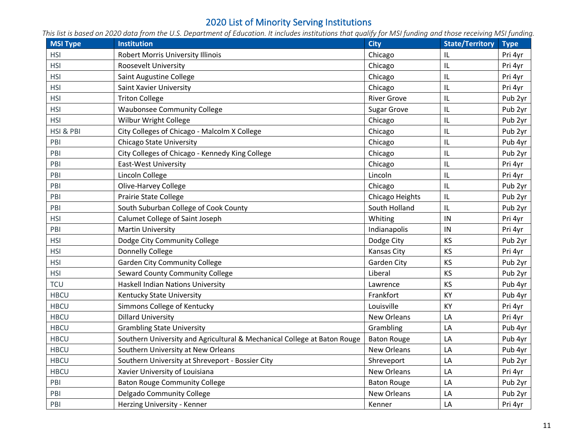| <b>MSI Type</b> | <b>Institution</b>                                                       | <b>City</b>        | <b>State/Territory</b>            | <b>Type</b> |
|-----------------|--------------------------------------------------------------------------|--------------------|-----------------------------------|-------------|
| <b>HSI</b>      | Robert Morris University Illinois                                        | Chicago            | $\ensuremath{\mathsf{IL}}\xspace$ | Pri 4yr     |
| <b>HSI</b>      | <b>Roosevelt University</b>                                              | Chicago            | IL                                | Pri 4yr     |
| <b>HSI</b>      | Saint Augustine College                                                  | Chicago            | IL                                | Pri 4yr     |
| <b>HSI</b>      | Saint Xavier University                                                  | Chicago            | IL                                | Pri 4yr     |
| <b>HSI</b>      | <b>Triton College</b>                                                    | <b>River Grove</b> | IL                                | Pub 2yr     |
| <b>HSI</b>      | <b>Waubonsee Community College</b>                                       | <b>Sugar Grove</b> | IL                                | Pub 2yr     |
| <b>HSI</b>      | Wilbur Wright College                                                    | Chicago            | IL                                | Pub 2yr     |
| HSI & PBI       | City Colleges of Chicago - Malcolm X College                             | Chicago            | IL                                | Pub 2yr     |
| PBI             | <b>Chicago State University</b>                                          | Chicago            | IL                                | Pub 4yr     |
| PBI             | City Colleges of Chicago - Kennedy King College                          | Chicago            | IL                                | Pub 2yr     |
| PBI             | <b>East-West University</b>                                              | Chicago            | IL                                | Pri 4yr     |
| PBI             | Lincoln College                                                          | Lincoln            | IL                                | Pri 4yr     |
| PBI             | <b>Olive-Harvey College</b>                                              | Chicago            | IL                                | Pub 2yr     |
| PBI             | <b>Prairie State College</b>                                             | Chicago Heights    | IL                                | Pub 2yr     |
| PBI             | South Suburban College of Cook County                                    | South Holland      | IL                                | Pub 2yr     |
| <b>HSI</b>      | Calumet College of Saint Joseph                                          | Whiting            | IN                                | Pri 4yr     |
| PBI             | <b>Martin University</b>                                                 | Indianapolis       | IN                                | Pri 4yr     |
| <b>HSI</b>      | Dodge City Community College                                             | Dodge City         | KS                                | Pub 2yr     |
| <b>HSI</b>      | <b>Donnelly College</b>                                                  | Kansas City        | KS                                | Pri 4yr     |
| <b>HSI</b>      | <b>Garden City Community College</b>                                     | Garden City        | KS                                | Pub 2yr     |
| <b>HSI</b>      | <b>Seward County Community College</b>                                   | Liberal            | KS                                | Pub 2yr     |
| <b>TCU</b>      | Haskell Indian Nations University                                        | Lawrence           | KS                                | Pub 4yr     |
| <b>HBCU</b>     | Kentucky State University                                                | Frankfort          | KY                                | Pub 4yr     |
| <b>HBCU</b>     | Simmons College of Kentucky                                              | Louisville         | KY                                | Pri 4yr     |
| <b>HBCU</b>     | <b>Dillard University</b>                                                | <b>New Orleans</b> | LA                                | Pri 4yr     |
| <b>HBCU</b>     | <b>Grambling State University</b>                                        | Grambling          | LA                                | Pub 4yr     |
| <b>HBCU</b>     | Southern University and Agricultural & Mechanical College at Baton Rouge | <b>Baton Rouge</b> | LA                                | Pub 4yr     |
| <b>HBCU</b>     | Southern University at New Orleans                                       | New Orleans        | LA                                | Pub 4yr     |
| <b>HBCU</b>     | Southern University at Shreveport - Bossier City                         | Shreveport         | LA                                | Pub 2yr     |
| <b>HBCU</b>     | Xavier University of Louisiana                                           | New Orleans        | LA                                | Pri 4yr     |
| PBI             | <b>Baton Rouge Community College</b>                                     | <b>Baton Rouge</b> | LA                                | Pub 2yr     |
| PBI             | Delgado Community College                                                | <b>New Orleans</b> | LA                                | Pub 2yr     |
| PBI             | Herzing University - Kenner                                              | Kenner             | LA                                | Pri 4yr     |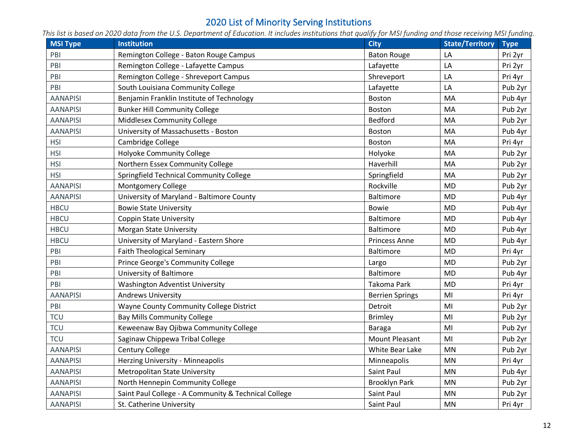| <b>MSI Type</b> | <b>Institution</b>                                   | <b>City</b>            | <b>State/Territory</b> | <b>Type</b> |
|-----------------|------------------------------------------------------|------------------------|------------------------|-------------|
| PBI             | Remington College - Baton Rouge Campus               | <b>Baton Rouge</b>     | LA                     | Pri 2yr     |
| PBI             | Remington College - Lafayette Campus                 | Lafayette              | LA                     | Pri 2yr     |
| PBI             | Remington College - Shreveport Campus                | Shreveport             | LA                     | Pri 4yr     |
| PBI             | South Louisiana Community College                    | Lafayette              | LA                     | Pub 2yr     |
| <b>AANAPISI</b> | Benjamin Franklin Institute of Technology            | Boston                 | MA                     | Pub 4yr     |
| <b>AANAPISI</b> | <b>Bunker Hill Community College</b>                 | Boston                 | MA                     | Pub 2yr     |
| <b>AANAPISI</b> | Middlesex Community College                          | Bedford                | MA                     | Pub 2yr     |
| <b>AANAPISI</b> | University of Massachusetts - Boston                 | Boston                 | MA                     | Pub 4yr     |
| <b>HSI</b>      | Cambridge College                                    | Boston                 | MA                     | Pri 4yr     |
| <b>HSI</b>      | <b>Holyoke Community College</b>                     | Holyoke                | MA                     | Pub 2yr     |
| <b>HSI</b>      | Northern Essex Community College                     | Haverhill              | MA                     | Pub 2yr     |
| <b>HSI</b>      | Springfield Technical Community College              | Springfield            | MA                     | Pub 2yr     |
| <b>AANAPISI</b> | <b>Montgomery College</b>                            | Rockville              | <b>MD</b>              | Pub 2yr     |
| <b>AANAPISI</b> | University of Maryland - Baltimore County            | <b>Baltimore</b>       | <b>MD</b>              | Pub 4yr     |
| <b>HBCU</b>     | <b>Bowie State University</b>                        | <b>Bowie</b>           | <b>MD</b>              | Pub 4yr     |
| <b>HBCU</b>     | <b>Coppin State University</b>                       | Baltimore              | <b>MD</b>              | Pub 4yr     |
| <b>HBCU</b>     | <b>Morgan State University</b>                       | <b>Baltimore</b>       | <b>MD</b>              | Pub 4yr     |
| <b>HBCU</b>     | University of Maryland - Eastern Shore               | <b>Princess Anne</b>   | <b>MD</b>              | Pub 4yr     |
| PBI             | <b>Faith Theological Seminary</b>                    | Baltimore              | <b>MD</b>              | Pri 4yr     |
| PBI             | Prince George's Community College                    | Largo                  | <b>MD</b>              | Pub 2yr     |
| PBI             | University of Baltimore                              | Baltimore              | <b>MD</b>              | Pub 4yr     |
| PBI             | <b>Washington Adventist University</b>               | Takoma Park            | <b>MD</b>              | Pri 4yr     |
| <b>AANAPISI</b> | <b>Andrews University</b>                            | <b>Berrien Springs</b> | MI                     | Pri 4yr     |
| PBI             | Wayne County Community College District              | Detroit                | MI                     | Pub 2yr     |
| <b>TCU</b>      | <b>Bay Mills Community College</b>                   | <b>Brimley</b>         | MI                     | Pub 2yr     |
| <b>TCU</b>      | Keweenaw Bay Ojibwa Community College                | <b>Baraga</b>          | MI                     | Pub 2yr     |
| <b>TCU</b>      | Saginaw Chippewa Tribal College                      | <b>Mount Pleasant</b>  | MI                     | Pub 2yr     |
| <b>AANAPISI</b> | Century College                                      | White Bear Lake        | <b>MN</b>              | Pub 2yr     |
| <b>AANAPISI</b> | Herzing University - Minneapolis                     | Minneapolis            | <b>MN</b>              | Pri 4yr     |
| <b>AANAPISI</b> | <b>Metropolitan State University</b>                 | Saint Paul             | <b>MN</b>              | Pub 4yr     |
| <b>AANAPISI</b> | North Hennepin Community College                     | <b>Brooklyn Park</b>   | <b>MN</b>              | Pub 2yr     |
| <b>AANAPISI</b> | Saint Paul College - A Community & Technical College | Saint Paul             | MN                     | Pub 2yr     |
| <b>AANAPISI</b> | St. Catherine University                             | Saint Paul             | <b>MN</b>              | Pri 4yr     |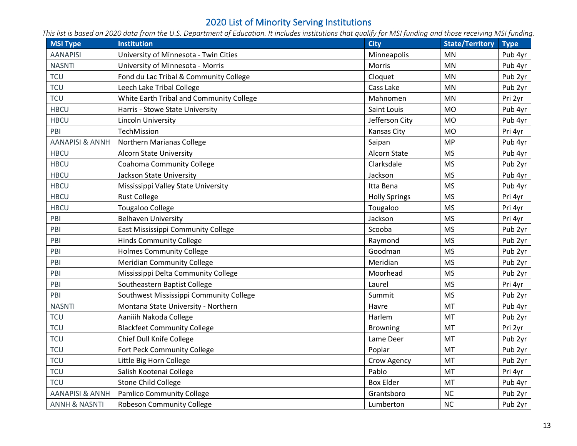| <b>MSI Type</b>            | <b>Institution</b>                       | <b>City</b>          | <b>State/Territory</b> | <b>Type</b> |
|----------------------------|------------------------------------------|----------------------|------------------------|-------------|
| <b>AANAPISI</b>            | University of Minnesota - Twin Cities    | Minneapolis          | <b>MN</b>              | Pub 4yr     |
| <b>NASNTI</b>              | University of Minnesota - Morris         | Morris               | <b>MN</b>              | Pub 4yr     |
| <b>TCU</b>                 | Fond du Lac Tribal & Community College   | Cloquet              | <b>MN</b>              | Pub 2yr     |
| <b>TCU</b>                 | Leech Lake Tribal College                | Cass Lake            | <b>MN</b>              | Pub 2yr     |
| <b>TCU</b>                 | White Earth Tribal and Community College | Mahnomen             | <b>MN</b>              | Pri 2yr     |
| <b>HBCU</b>                | Harris - Stowe State University          | Saint Louis          | <b>MO</b>              | Pub 4yr     |
| <b>HBCU</b>                | Lincoln University                       | Jefferson City       | <b>MO</b>              | Pub 4yr     |
| PBI                        | TechMission                              | <b>Kansas City</b>   | <b>MO</b>              | Pri 4yr     |
| <b>AANAPISI &amp; ANNH</b> | Northern Marianas College                | Saipan               | <b>MP</b>              | Pub 4yr     |
| <b>HBCU</b>                | <b>Alcorn State University</b>           | Alcorn State         | <b>MS</b>              | Pub 4yr     |
| <b>HBCU</b>                | <b>Coahoma Community College</b>         | Clarksdale           | <b>MS</b>              | Pub 2yr     |
| <b>HBCU</b>                | Jackson State University                 | Jackson              | <b>MS</b>              | Pub 4yr     |
| <b>HBCU</b>                | Mississippi Valley State University      | Itta Bena            | <b>MS</b>              | Pub 4yr     |
| <b>HBCU</b>                | <b>Rust College</b>                      | <b>Holly Springs</b> | <b>MS</b>              | Pri 4yr     |
| <b>HBCU</b>                | <b>Tougaloo College</b>                  | Tougaloo             | <b>MS</b>              | Pri 4yr     |
| PBI                        | <b>Belhaven University</b>               | Jackson              | <b>MS</b>              | Pri 4yr     |
| PBI                        | East Mississippi Community College       | Scooba               | <b>MS</b>              | Pub 2yr     |
| PBI                        | <b>Hinds Community College</b>           | Raymond              | <b>MS</b>              | Pub 2yr     |
| PBI                        | <b>Holmes Community College</b>          | Goodman              | <b>MS</b>              | Pub 2yr     |
| PBI                        | <b>Meridian Community College</b>        | Meridian             | <b>MS</b>              | Pub 2yr     |
| PBI                        | Mississippi Delta Community College      | Moorhead             | <b>MS</b>              | Pub 2yr     |
| PBI                        | Southeastern Baptist College             | Laurel               | <b>MS</b>              | Pri 4yr     |
| PBI                        | Southwest Mississippi Community College  | Summit               | <b>MS</b>              | Pub 2yr     |
| <b>NASNTI</b>              | Montana State University - Northern      | Havre                | MT                     | Pub 4yr     |
| <b>TCU</b>                 | Aaniiih Nakoda College                   | Harlem               | MT                     | Pub 2yr     |
| <b>TCU</b>                 | <b>Blackfeet Community College</b>       | <b>Browning</b>      | MT                     | Pri 2yr     |
| <b>TCU</b>                 | Chief Dull Knife College                 | Lame Deer            | MT                     | Pub 2yr     |
| <b>TCU</b>                 | Fort Peck Community College              | Poplar               | MT                     | Pub 2yr     |
| <b>TCU</b>                 | Little Big Horn College                  | Crow Agency          | MT                     | Pub 2yr     |
| <b>TCU</b>                 | Salish Kootenai College                  | Pablo                | MT                     | Pri 4yr     |
| <b>TCU</b>                 | <b>Stone Child College</b>               | <b>Box Elder</b>     | <b>MT</b>              | Pub 4yr     |
| <b>AANAPISI &amp; ANNH</b> | <b>Pamlico Community College</b>         | Grantsboro           | <b>NC</b>              | Pub 2yr     |
| <b>ANNH &amp; NASNTI</b>   | <b>Robeson Community College</b>         | Lumberton            | <b>NC</b>              | Pub 2yr     |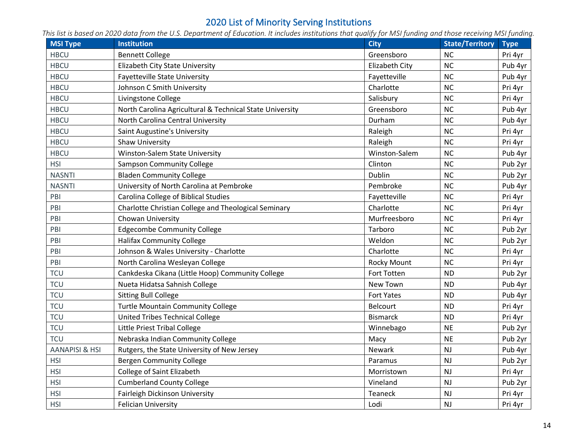| <b>MSI Type</b>           | on EsEs data from the sist bepartment of Eddoution, it moldaes motitations that quanfy for morfanality and<br><b>Institution</b> | <b>City</b>           | $\frac{1}{2}$<br><b>State/Territory</b> | <b>Type</b> |
|---------------------------|----------------------------------------------------------------------------------------------------------------------------------|-----------------------|-----------------------------------------|-------------|
| <b>HBCU</b>               | <b>Bennett College</b>                                                                                                           | Greensboro            | <b>NC</b>                               | Pri 4yr     |
| <b>HBCU</b>               | <b>Elizabeth City State University</b>                                                                                           | <b>Elizabeth City</b> | <b>NC</b>                               | Pub 4yr     |
| <b>HBCU</b>               | <b>Fayetteville State University</b>                                                                                             | Fayetteville          | <b>NC</b>                               | Pub 4yr     |
| <b>HBCU</b>               | Johnson C Smith University                                                                                                       | Charlotte             | <b>NC</b>                               | Pri 4yr     |
| <b>HBCU</b>               | Livingstone College                                                                                                              | Salisbury             | <b>NC</b>                               | Pri 4yr     |
| <b>HBCU</b>               | North Carolina Agricultural & Technical State University                                                                         | Greensboro            | <b>NC</b>                               | Pub 4yr     |
| <b>HBCU</b>               | North Carolina Central University                                                                                                | Durham                | <b>NC</b>                               | Pub 4yr     |
| <b>HBCU</b>               | Saint Augustine's University                                                                                                     | Raleigh               | <b>NC</b>                               | Pri 4yr     |
| <b>HBCU</b>               | Shaw University                                                                                                                  | Raleigh               | <b>NC</b>                               | Pri 4yr     |
| <b>HBCU</b>               | Winston-Salem State University                                                                                                   | Winston-Salem         | <b>NC</b>                               | Pub 4yr     |
| <b>HSI</b>                | <b>Sampson Community College</b>                                                                                                 | Clinton               | <b>NC</b>                               | Pub 2yr     |
| <b>NASNTI</b>             | <b>Bladen Community College</b>                                                                                                  | Dublin                | <b>NC</b>                               | Pub 2yr     |
| <b>NASNTI</b>             | University of North Carolina at Pembroke                                                                                         | Pembroke              | <b>NC</b>                               | Pub 4yr     |
| PBI                       | Carolina College of Biblical Studies                                                                                             | Fayetteville          | <b>NC</b>                               | Pri 4yr     |
| PBI                       | Charlotte Christian College and Theological Seminary                                                                             | Charlotte             | <b>NC</b>                               | Pri 4yr     |
| PBI                       | Chowan University                                                                                                                | Murfreesboro          | <b>NC</b>                               | Pri 4yr     |
| PBI                       | <b>Edgecombe Community College</b>                                                                                               | Tarboro               | <b>NC</b>                               | Pub 2yr     |
| PBI                       | <b>Halifax Community College</b>                                                                                                 | Weldon                | <b>NC</b>                               | Pub 2yr     |
| PBI                       | Johnson & Wales University - Charlotte                                                                                           | Charlotte             | <b>NC</b>                               | Pri 4yr     |
| PBI                       | North Carolina Wesleyan College                                                                                                  | <b>Rocky Mount</b>    | <b>NC</b>                               | Pri 4yr     |
| <b>TCU</b>                | Cankdeska Cikana (Little Hoop) Community College                                                                                 | Fort Totten           | <b>ND</b>                               | Pub 2yr     |
| <b>TCU</b>                | Nueta Hidatsa Sahnish College                                                                                                    | New Town              | <b>ND</b>                               | Pub 4yr     |
| <b>TCU</b>                | <b>Sitting Bull College</b>                                                                                                      | <b>Fort Yates</b>     | <b>ND</b>                               | Pub 4yr     |
| <b>TCU</b>                | <b>Turtle Mountain Community College</b>                                                                                         | Belcourt              | <b>ND</b>                               | Pri 4yr     |
| <b>TCU</b>                | United Tribes Technical College                                                                                                  | <b>Bismarck</b>       | <b>ND</b>                               | Pri 4yr     |
| <b>TCU</b>                | Little Priest Tribal College                                                                                                     | Winnebago             | <b>NE</b>                               | Pub 2yr     |
| <b>TCU</b>                | Nebraska Indian Community College                                                                                                | Macy                  | <b>NE</b>                               | Pub 2yr     |
| <b>AANAPISI &amp; HSI</b> | Rutgers, the State University of New Jersey                                                                                      | Newark                | <b>NJ</b>                               | Pub 4yr     |
| <b>HSI</b>                | <b>Bergen Community College</b>                                                                                                  | Paramus               | <b>NJ</b>                               | Pub 2yr     |
| <b>HSI</b>                | College of Saint Elizabeth                                                                                                       | Morristown            | <b>NJ</b>                               | Pri 4yr     |
| <b>HSI</b>                | <b>Cumberland County College</b>                                                                                                 | Vineland              | NJ                                      | Pub 2yr     |
| <b>HSI</b>                | Fairleigh Dickinson University                                                                                                   | Teaneck               | <b>NJ</b>                               | Pri 4yr     |
| <b>HSI</b>                | <b>Felician University</b>                                                                                                       | Lodi                  | <b>NJ</b>                               | Pri 4yr     |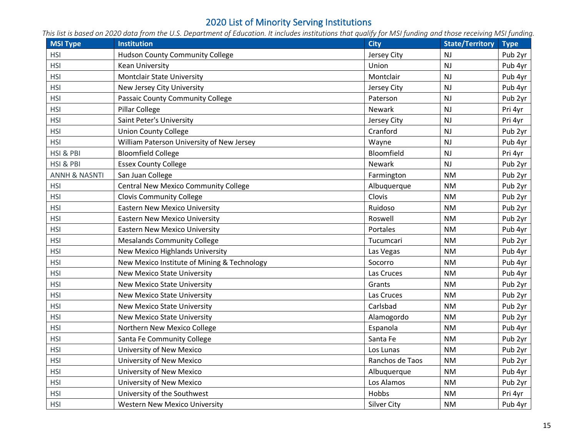| <b>MSI Type</b>          | . On EULU data promitme oldi Department of Laadationi it molades molitations that quang for morfanamig and those receiving morfanamig<br><b>Institution</b> | <b>City</b>        | <b>State/Territory</b> | <b>Type</b> |
|--------------------------|-------------------------------------------------------------------------------------------------------------------------------------------------------------|--------------------|------------------------|-------------|
| <b>HSI</b>               | <b>Hudson County Community College</b>                                                                                                                      | Jersey City        | <b>NJ</b>              | Pub 2yr     |
| <b>HSI</b>               | <b>Kean University</b>                                                                                                                                      | Union              | <b>NJ</b>              | Pub 4yr     |
| <b>HSI</b>               | <b>Montclair State University</b>                                                                                                                           | Montclair          | NJ                     | Pub 4yr     |
| <b>HSI</b>               | New Jersey City University                                                                                                                                  | Jersey City        | <b>NJ</b>              | Pub 4yr     |
| <b>HSI</b>               | Passaic County Community College                                                                                                                            | Paterson           | <b>NJ</b>              | Pub 2yr     |
| <b>HSI</b>               | Pillar College                                                                                                                                              | Newark             | <b>NJ</b>              | Pri 4yr     |
| <b>HSI</b>               | Saint Peter's University                                                                                                                                    | Jersey City        | <b>NJ</b>              | Pri 4yr     |
| <b>HSI</b>               | <b>Union County College</b>                                                                                                                                 | Cranford           | NJ                     | Pub 2yr     |
| <b>HSI</b>               | William Paterson University of New Jersey                                                                                                                   | Wayne              | NJ                     | Pub 4yr     |
| HSI & PBI                | <b>Bloomfield College</b>                                                                                                                                   | Bloomfield         | NJ                     | Pri 4yr     |
| HSI & PBI                | <b>Essex County College</b>                                                                                                                                 | Newark             | NJ                     | Pub 2yr     |
| <b>ANNH &amp; NASNTI</b> | San Juan College                                                                                                                                            | Farmington         | <b>NM</b>              | Pub 2yr     |
| <b>HSI</b>               | <b>Central New Mexico Community College</b>                                                                                                                 | Albuquerque        | <b>NM</b>              | Pub 2yr     |
| <b>HSI</b>               | <b>Clovis Community College</b>                                                                                                                             | Clovis             | <b>NM</b>              | Pub 2yr     |
| <b>HSI</b>               | <b>Eastern New Mexico University</b>                                                                                                                        | Ruidoso            | <b>NM</b>              | Pub 2yr     |
| <b>HSI</b>               | <b>Eastern New Mexico University</b>                                                                                                                        | Roswell            | <b>NM</b>              | Pub 2yr     |
| <b>HSI</b>               | <b>Eastern New Mexico University</b>                                                                                                                        | Portales           | <b>NM</b>              | Pub 4yr     |
| <b>HSI</b>               | <b>Mesalands Community College</b>                                                                                                                          | Tucumcari          | <b>NM</b>              | Pub 2yr     |
| <b>HSI</b>               | New Mexico Highlands University                                                                                                                             | Las Vegas          | <b>NM</b>              | Pub 4yr     |
| <b>HSI</b>               | New Mexico Institute of Mining & Technology                                                                                                                 | Socorro            | <b>NM</b>              | Pub 4yr     |
| <b>HSI</b>               | <b>New Mexico State University</b>                                                                                                                          | Las Cruces         | <b>NM</b>              | Pub 4yr     |
| <b>HSI</b>               | <b>New Mexico State University</b>                                                                                                                          | Grants             | <b>NM</b>              | Pub 2yr     |
| <b>HSI</b>               | <b>New Mexico State University</b>                                                                                                                          | Las Cruces         | <b>NM</b>              | Pub 2yr     |
| <b>HSI</b>               | <b>New Mexico State University</b>                                                                                                                          | Carlsbad           | <b>NM</b>              | Pub 2yr     |
| <b>HSI</b>               | <b>New Mexico State University</b>                                                                                                                          | Alamogordo         | <b>NM</b>              | Pub 2yr     |
| <b>HSI</b>               | Northern New Mexico College                                                                                                                                 | Espanola           | <b>NM</b>              | Pub 4yr     |
| <b>HSI</b>               | Santa Fe Community College                                                                                                                                  | Santa Fe           | <b>NM</b>              | Pub 2yr     |
| <b>HSI</b>               | <b>University of New Mexico</b>                                                                                                                             | Los Lunas          | <b>NM</b>              | Pub 2yr     |
| <b>HSI</b>               | <b>University of New Mexico</b>                                                                                                                             | Ranchos de Taos    | <b>NM</b>              | Pub 2yr     |
| <b>HSI</b>               | University of New Mexico                                                                                                                                    | Albuquerque        | <b>NM</b>              | Pub 4yr     |
| <b>HSI</b>               | University of New Mexico                                                                                                                                    | Los Alamos         | <b>NM</b>              | Pub 2yr     |
| <b>HSI</b>               | University of the Southwest                                                                                                                                 | Hobbs              | <b>NM</b>              | Pri 4yr     |
| <b>HSI</b>               | <b>Western New Mexico University</b>                                                                                                                        | <b>Silver City</b> | <b>NM</b>              | Pub 4yr     |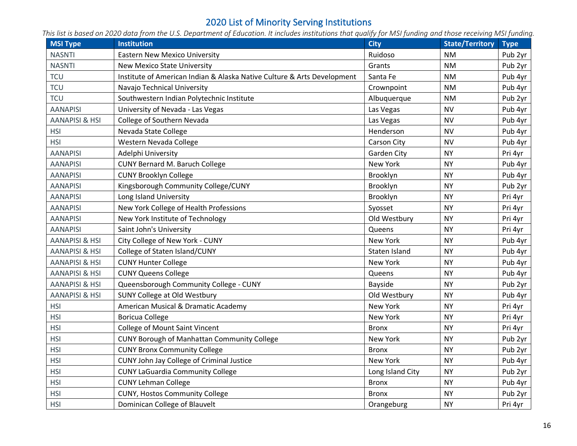| <b>MSI Type</b>           | <b>Institution</b>                                                      | <b>City</b>      | <b>State/Territory</b> | <b>Type</b> |
|---------------------------|-------------------------------------------------------------------------|------------------|------------------------|-------------|
| <b>NASNTI</b>             | <b>Eastern New Mexico University</b>                                    | Ruidoso          | <b>NM</b>              | Pub 2yr     |
| <b>NASNTI</b>             | <b>New Mexico State University</b>                                      | Grants           | <b>NM</b>              | Pub 2yr     |
| <b>TCU</b>                | Institute of American Indian & Alaska Native Culture & Arts Development | Santa Fe         | <b>NM</b>              | Pub 4yr     |
| <b>TCU</b>                | Navajo Technical University                                             | Crownpoint       | <b>NM</b>              | Pub 4yr     |
| <b>TCU</b>                | Southwestern Indian Polytechnic Institute                               | Albuquerque      | <b>NM</b>              | Pub 2yr     |
| <b>AANAPISI</b>           | University of Nevada - Las Vegas                                        | Las Vegas        | <b>NV</b>              | Pub 4yr     |
| <b>AANAPISI &amp; HSI</b> | College of Southern Nevada                                              | Las Vegas        | <b>NV</b>              | Pub 4yr     |
| <b>HSI</b>                | Nevada State College                                                    | Henderson        | <b>NV</b>              | Pub 4yr     |
| <b>HSI</b>                | Western Nevada College                                                  | Carson City      | <b>NV</b>              | Pub 4yr     |
| <b>AANAPISI</b>           | Adelphi University                                                      | Garden City      | <b>NY</b>              | Pri 4yr     |
| <b>AANAPISI</b>           | <b>CUNY Bernard M. Baruch College</b>                                   | New York         | <b>NY</b>              | Pub 4yr     |
| <b>AANAPISI</b>           | <b>CUNY Brooklyn College</b>                                            | Brooklyn         | <b>NY</b>              | Pub 4yr     |
| <b>AANAPISI</b>           | Kingsborough Community College/CUNY                                     | Brooklyn         | <b>NY</b>              | Pub 2yr     |
| <b>AANAPISI</b>           | Long Island University                                                  | Brooklyn         | <b>NY</b>              | Pri 4yr     |
| <b>AANAPISI</b>           | New York College of Health Professions                                  | Syosset          | <b>NY</b>              | Pri 4yr     |
| <b>AANAPISI</b>           | New York Institute of Technology                                        | Old Westbury     | <b>NY</b>              | Pri 4yr     |
| <b>AANAPISI</b>           | Saint John's University                                                 | Queens           | <b>NY</b>              | Pri 4yr     |
| <b>AANAPISI &amp; HSI</b> | City College of New York - CUNY                                         | New York         | <b>NY</b>              | Pub 4yr     |
| <b>AANAPISI &amp; HSI</b> | College of Staten Island/CUNY                                           | Staten Island    | <b>NY</b>              | Pub 4yr     |
| <b>AANAPISI &amp; HSI</b> | <b>CUNY Hunter College</b>                                              | New York         | <b>NY</b>              | Pub 4yr     |
| <b>AANAPISI &amp; HSI</b> | <b>CUNY Queens College</b>                                              | Queens           | <b>NY</b>              | Pub 4yr     |
| <b>AANAPISI &amp; HSI</b> | Queensborough Community College - CUNY                                  | Bayside          | <b>NY</b>              | Pub 2yr     |
| <b>AANAPISI &amp; HSI</b> | <b>SUNY College at Old Westbury</b>                                     | Old Westbury     | <b>NY</b>              | Pub 4yr     |
| <b>HSI</b>                | American Musical & Dramatic Academy                                     | New York         | <b>NY</b>              | Pri 4yr     |
| <b>HSI</b>                | <b>Boricua College</b>                                                  | New York         | <b>NY</b>              | Pri 4yr     |
| <b>HSI</b>                | College of Mount Saint Vincent                                          | <b>Bronx</b>     | <b>NY</b>              | Pri 4yr     |
| <b>HSI</b>                | <b>CUNY Borough of Manhattan Community College</b>                      | New York         | <b>NY</b>              | Pub 2yr     |
| <b>HSI</b>                | <b>CUNY Bronx Community College</b>                                     | <b>Bronx</b>     | <b>NY</b>              | Pub 2yr     |
| <b>HSI</b>                | CUNY John Jay College of Criminal Justice                               | New York         | <b>NY</b>              | Pub 4yr     |
| <b>HSI</b>                | <b>CUNY LaGuardia Community College</b>                                 | Long Island City | <b>NY</b>              | Pub 2yr     |
| <b>HSI</b>                | <b>CUNY Lehman College</b>                                              | <b>Bronx</b>     | <b>NY</b>              | Pub 4yr     |
| <b>HSI</b>                | CUNY, Hostos Community College                                          | <b>Bronx</b>     | <b>NY</b>              | Pub 2yr     |
| <b>HSI</b>                | Dominican College of Blauvelt                                           | Orangeburg       | <b>NY</b>              | Pri 4yr     |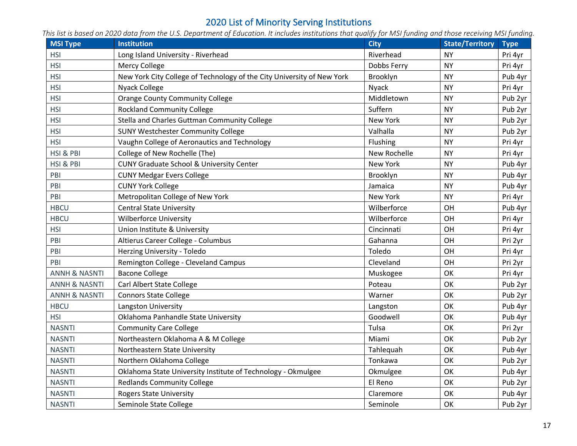| <b>MSI Type</b>          | on Echo aata jilom the bibi bepartment of Eadoation. It molades motitations that gaanjy for mor fanang and<br><b>Institution</b> | <b>City</b>         | <b>State/Territory</b> | <b>Type</b> |
|--------------------------|----------------------------------------------------------------------------------------------------------------------------------|---------------------|------------------------|-------------|
| <b>HSI</b>               | Long Island University - Riverhead                                                                                               | Riverhead           | <b>NY</b>              | Pri 4yr     |
| <b>HSI</b>               | Mercy College                                                                                                                    | Dobbs Ferry         | <b>NY</b>              | Pri 4yr     |
| <b>HSI</b>               | New York City College of Technology of the City University of New York                                                           | Brooklyn            | <b>NY</b>              | Pub 4yr     |
| <b>HSI</b>               | <b>Nyack College</b>                                                                                                             | Nyack               | <b>NY</b>              | Pri 4yr     |
| <b>HSI</b>               | <b>Orange County Community College</b>                                                                                           | Middletown          | <b>NY</b>              | Pub 2yr     |
| <b>HSI</b>               | <b>Rockland Community College</b>                                                                                                | Suffern             | <b>NY</b>              | Pub 2yr     |
| <b>HSI</b>               | Stella and Charles Guttman Community College                                                                                     | New York            | <b>NY</b>              | Pub 2yr     |
| <b>HSI</b>               | <b>SUNY Westchester Community College</b>                                                                                        | Valhalla            | <b>NY</b>              | Pub 2yr     |
| <b>HSI</b>               | Vaughn College of Aeronautics and Technology                                                                                     | Flushing            | <b>NY</b>              | Pri 4yr     |
| <b>HSI &amp; PBI</b>     | College of New Rochelle (The)                                                                                                    | <b>New Rochelle</b> | <b>NY</b>              | Pri 4yr     |
| HSI & PBI                | <b>CUNY Graduate School &amp; University Center</b>                                                                              | New York            | <b>NY</b>              | Pub 4yr     |
| PBI                      | <b>CUNY Medgar Evers College</b>                                                                                                 | Brooklyn            | <b>NY</b>              | Pub 4yr     |
| PBI                      | <b>CUNY York College</b>                                                                                                         | Jamaica             | <b>NY</b>              | Pub 4yr     |
| PBI                      | Metropolitan College of New York                                                                                                 | New York            | <b>NY</b>              | Pri 4yr     |
| <b>HBCU</b>              | <b>Central State University</b>                                                                                                  | Wilberforce         | OH                     | Pub 4yr     |
| <b>HBCU</b>              | <b>Wilberforce University</b>                                                                                                    | Wilberforce         | OH                     | Pri 4yr     |
| <b>HSI</b>               | Union Institute & University                                                                                                     | Cincinnati          | OH                     | Pri 4yr     |
| PBI                      | Altierus Career College - Columbus                                                                                               | Gahanna             | OH                     | Pri 2yr     |
| PBI                      | Herzing University - Toledo                                                                                                      | Toledo              | OH                     | Pri 4yr     |
| PBI                      | Remington College - Cleveland Campus                                                                                             | Cleveland           | OH                     | Pri 2yr     |
| <b>ANNH &amp; NASNTI</b> | <b>Bacone College</b>                                                                                                            | Muskogee            | OK                     | Pri 4yr     |
| <b>ANNH &amp; NASNTI</b> | <b>Carl Albert State College</b>                                                                                                 | Poteau              | OK                     | Pub 2yr     |
| <b>ANNH &amp; NASNTI</b> | <b>Connors State College</b>                                                                                                     | Warner              | OK                     | Pub 2yr     |
| <b>HBCU</b>              | Langston University                                                                                                              | Langston            | OK                     | Pub 4yr     |
| <b>HSI</b>               | Oklahoma Panhandle State University                                                                                              | Goodwell            | OK                     | Pub 4yr     |
| <b>NASNTI</b>            | <b>Community Care College</b>                                                                                                    | Tulsa               | OK                     | Pri 2yr     |
| <b>NASNTI</b>            | Northeastern Oklahoma A & M College                                                                                              | Miami               | OK                     | Pub 2yr     |
| <b>NASNTI</b>            | Northeastern State University                                                                                                    | Tahlequah           | OK                     | Pub 4yr     |
| <b>NASNTI</b>            | Northern Oklahoma College                                                                                                        | Tonkawa             | OK                     | Pub 2yr     |
| <b>NASNTI</b>            | Oklahoma State University Institute of Technology - Okmulgee                                                                     | Okmulgee            | OK                     | Pub 4yr     |
| <b>NASNTI</b>            | <b>Redlands Community College</b>                                                                                                | El Reno             | OK                     | Pub 2yr     |
| <b>NASNTI</b>            | <b>Rogers State University</b>                                                                                                   | Claremore           | OK                     | Pub 4yr     |
| <b>NASNTI</b>            | Seminole State College                                                                                                           | Seminole            | OK                     | Pub 2yr     |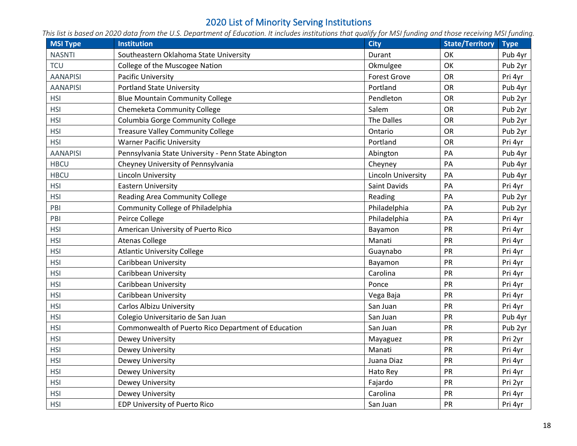| <b>MSI Type</b> | adica <sub>p</sub> , enn inc ener e ep ar innenii e <sub>p</sub> Eadiediism ni me<br>Institution | <b>City</b>               | <b>State/Territory</b> | <b>Type</b> |
|-----------------|--------------------------------------------------------------------------------------------------|---------------------------|------------------------|-------------|
| <b>NASNTI</b>   | Southeastern Oklahoma State University                                                           | Durant                    | OK                     | Pub 4yr     |
| <b>TCU</b>      | College of the Muscogee Nation                                                                   | Okmulgee                  | OK                     | Pub 2yr     |
| <b>AANAPISI</b> | Pacific University                                                                               | <b>Forest Grove</b>       | <b>OR</b>              | Pri 4yr     |
| <b>AANAPISI</b> | <b>Portland State University</b>                                                                 | Portland                  | <b>OR</b>              | Pub 4yr     |
| <b>HSI</b>      | <b>Blue Mountain Community College</b>                                                           | Pendleton                 | <b>OR</b>              | Pub 2yr     |
| <b>HSI</b>      | Chemeketa Community College                                                                      | Salem                     | <b>OR</b>              | Pub 2yr     |
| <b>HSI</b>      | Columbia Gorge Community College                                                                 | The Dalles                | <b>OR</b>              | Pub 2yr     |
| <b>HSI</b>      | <b>Treasure Valley Community College</b>                                                         | Ontario                   | <b>OR</b>              | Pub 2yr     |
| <b>HSI</b>      | <b>Warner Pacific University</b>                                                                 | Portland                  | OR                     | Pri 4yr     |
| <b>AANAPISI</b> | Pennsylvania State University - Penn State Abington                                              | Abington                  | PA                     | Pub 4yr     |
| <b>HBCU</b>     | Cheyney University of Pennsylvania                                                               | Cheyney                   | PA                     | Pub 4yr     |
| <b>HBCU</b>     | Lincoln University                                                                               | <b>Lincoln University</b> | PA                     | Pub 4yr     |
| <b>HSI</b>      | <b>Eastern University</b>                                                                        | <b>Saint Davids</b>       | PA                     | Pri 4yr     |
| <b>HSI</b>      | <b>Reading Area Community College</b>                                                            | Reading                   | PA                     | Pub 2yr     |
| PBI             | Community College of Philadelphia                                                                | Philadelphia              | PA                     | Pub 2yr     |
| PBI             | Peirce College                                                                                   | Philadelphia              | PA                     | Pri 4yr     |
| <b>HSI</b>      | American University of Puerto Rico                                                               | Bayamon                   | PR                     | Pri 4yr     |
| <b>HSI</b>      | <b>Atenas College</b>                                                                            | Manati                    | PR                     | Pri 4yr     |
| <b>HSI</b>      | <b>Atlantic University College</b>                                                               | Guaynabo                  | PR                     | Pri 4yr     |
| <b>HSI</b>      | Caribbean University                                                                             | Bayamon                   | PR                     | Pri 4yr     |
| <b>HSI</b>      | Caribbean University                                                                             | Carolina                  | PR                     | Pri 4yr     |
| <b>HSI</b>      | Caribbean University                                                                             | Ponce                     | PR                     | Pri 4yr     |
| <b>HSI</b>      | Caribbean University                                                                             | Vega Baja                 | PR                     | Pri 4yr     |
| <b>HSI</b>      | <b>Carlos Albizu University</b>                                                                  | San Juan                  | PR                     | Pri 4yr     |
| <b>HSI</b>      | Colegio Universitario de San Juan                                                                | San Juan                  | PR                     | Pub 4yr     |
| <b>HSI</b>      | Commonwealth of Puerto Rico Department of Education                                              | San Juan                  | PR                     | Pub 2yr     |
| <b>HSI</b>      | <b>Dewey University</b>                                                                          | Mayaguez                  | PR                     | Pri 2yr     |
| <b>HSI</b>      | Dewey University                                                                                 | Manati                    | PR                     | Pri 4yr     |
| <b>HSI</b>      | Dewey University                                                                                 | Juana Diaz                | PR                     | Pri 4yr     |
| <b>HSI</b>      | Dewey University                                                                                 | Hato Rey                  | PR                     | Pri 4yr     |
| <b>HSI</b>      | Dewey University                                                                                 | Fajardo                   | PR                     | Pri 2yr     |
| <b>HSI</b>      | Dewey University                                                                                 | Carolina                  | PR                     | Pri 4yr     |
| <b>HSI</b>      | EDP University of Puerto Rico                                                                    | San Juan                  | PR                     | Pri 4yr     |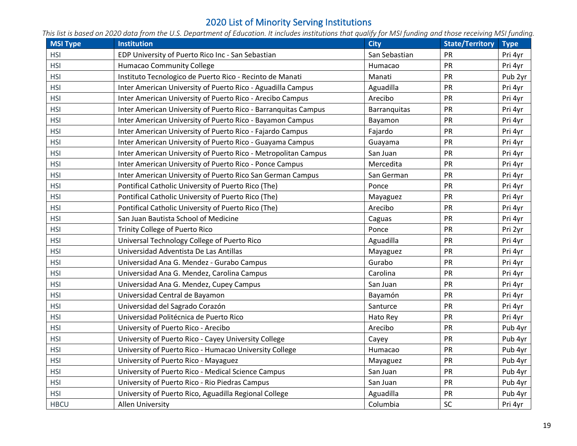| <b>MSI Type</b> | <b>Institution</b>                                             | <b>City</b>   | <b>State/Territory</b> | <b>Type</b> |
|-----------------|----------------------------------------------------------------|---------------|------------------------|-------------|
| <b>HSI</b>      | EDP University of Puerto Rico Inc - San Sebastian              | San Sebastian | <b>PR</b>              | Pri 4yr     |
| <b>HSI</b>      | <b>Humacao Community College</b>                               | Humacao       | PR                     | Pri 4yr     |
| <b>HSI</b>      | Instituto Tecnologico de Puerto Rico - Recinto de Manati       | Manati        | PR                     | Pub 2yr     |
| <b>HSI</b>      | Inter American University of Puerto Rico - Aguadilla Campus    | Aguadilla     | PR                     | Pri 4yr     |
| <b>HSI</b>      | Inter American University of Puerto Rico - Arecibo Campus      | Arecibo       | PR                     | Pri 4yr     |
| <b>HSI</b>      | Inter American University of Puerto Rico - Barranquitas Campus | Barranquitas  | PR                     | Pri 4yr     |
| <b>HSI</b>      | Inter American University of Puerto Rico - Bayamon Campus      | Bayamon       | PR                     | Pri 4yr     |
| <b>HSI</b>      | Inter American University of Puerto Rico - Fajardo Campus      | Fajardo       | PR                     | Pri 4yr     |
| <b>HSI</b>      | Inter American University of Puerto Rico - Guayama Campus      | Guayama       | PR                     | Pri 4yr     |
| <b>HSI</b>      | Inter American University of Puerto Rico - Metropolitan Campus | San Juan      | PR                     | Pri 4yr     |
| <b>HSI</b>      | Inter American University of Puerto Rico - Ponce Campus        | Mercedita     | PR                     | Pri 4yr     |
| <b>HSI</b>      | Inter American University of Puerto Rico San German Campus     | San German    | PR                     | Pri 4yr     |
| <b>HSI</b>      | Pontifical Catholic University of Puerto Rico (The)            | Ponce         | PR                     | Pri 4yr     |
| <b>HSI</b>      | Pontifical Catholic University of Puerto Rico (The)            | Mayaguez      | PR                     | Pri 4yr     |
| <b>HSI</b>      | Pontifical Catholic University of Puerto Rico (The)            | Arecibo       | PR                     | Pri 4yr     |
| <b>HSI</b>      | San Juan Bautista School of Medicine                           | Caguas        | PR                     | Pri 4yr     |
| <b>HSI</b>      | Trinity College of Puerto Rico                                 | Ponce         | PR                     | Pri 2yr     |
| <b>HSI</b>      | Universal Technology College of Puerto Rico                    | Aguadilla     | PR                     | Pri 4yr     |
| <b>HSI</b>      | Universidad Adventista De Las Antillas                         | Mayaguez      | PR                     | Pri 4yr     |
| <b>HSI</b>      | Universidad Ana G. Mendez - Gurabo Campus                      | Gurabo        | PR                     | Pri 4yr     |
| <b>HSI</b>      | Universidad Ana G. Mendez, Carolina Campus                     | Carolina      | PR                     | Pri 4yr     |
| <b>HSI</b>      | Universidad Ana G. Mendez, Cupey Campus                        | San Juan      | PR                     | Pri 4yr     |
| <b>HSI</b>      | Universidad Central de Bayamon                                 | Bayamón       | PR                     | Pri 4yr     |
| <b>HSI</b>      | Universidad del Sagrado Corazón                                | Santurce      | PR                     | Pri 4yr     |
| <b>HSI</b>      | Universidad Politécnica de Puerto Rico                         | Hato Rey      | PR                     | Pri 4yr     |
| <b>HSI</b>      | University of Puerto Rico - Arecibo                            | Arecibo       | PR                     | Pub 4yr     |
| <b>HSI</b>      | University of Puerto Rico - Cayey University College           | Cayey         | PR                     | Pub 4yr     |
| <b>HSI</b>      | University of Puerto Rico - Humacao University College         | Humacao       | PR                     | Pub 4yr     |
| <b>HSI</b>      | University of Puerto Rico - Mayaguez                           | Mayaguez      | PR                     | Pub 4yr     |
| <b>HSI</b>      | University of Puerto Rico - Medical Science Campus             | San Juan      | PR                     | Pub 4yr     |
| <b>HSI</b>      | University of Puerto Rico - Rio Piedras Campus                 | San Juan      | PR                     | Pub 4yr     |
| <b>HSI</b>      | University of Puerto Rico, Aguadilla Regional College          | Aguadilla     | PR                     | Pub 4yr     |
| <b>HBCU</b>     | <b>Allen University</b>                                        | Columbia      | SC                     | Pri 4yr     |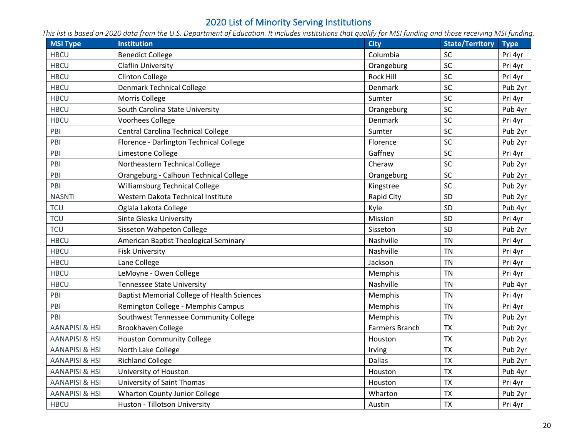| <b>MSI Type</b>           | on Esto data point the sist bepartment of Education. It moldaes motitations that quang for morganaing and<br><b>Institution</b> | <b>City</b>      | <b>State/Territory</b> | <b>Type</b> |
|---------------------------|---------------------------------------------------------------------------------------------------------------------------------|------------------|------------------------|-------------|
| <b>HBCU</b>               | <b>Benedict College</b>                                                                                                         | Columbia         | SC                     | Pri 4yr     |
| <b>HBCU</b>               | <b>Claflin University</b>                                                                                                       | Orangeburg       | SC                     | Pri 4yr     |
| <b>HBCU</b>               | <b>Clinton College</b>                                                                                                          | <b>Rock Hill</b> | SC                     | Pri 4yr     |
| <b>HBCU</b>               | <b>Denmark Technical College</b>                                                                                                | Denmark          | SC                     | Pub 2yr     |
| <b>HBCU</b>               | Morris College                                                                                                                  | Sumter           | SC                     | Pri 4yr     |
| <b>HBCU</b>               | South Carolina State University                                                                                                 | Orangeburg       | SC                     | Pub 4yr     |
| <b>HBCU</b>               | Voorhees College                                                                                                                | Denmark          | SC                     | Pri 4yr     |
| PBI                       | Central Carolina Technical College                                                                                              | Sumter           | SC                     | Pub 2yr     |
| PBI                       | Florence - Darlington Technical College                                                                                         | Florence         | SC                     | Pub 2yr     |
| PBI                       | Limestone College                                                                                                               | Gaffney          | SC                     | Pri 4yr     |
| PBI                       | Northeastern Technical College                                                                                                  | Cheraw           | SC                     | Pub 2yr     |
| PBI                       | Orangeburg - Calhoun Technical College                                                                                          | Orangeburg       | SC                     | Pub 2yr     |
| PBI                       | Williamsburg Technical College                                                                                                  | Kingstree        | SC                     | Pub 2yr     |
| <b>NASNTI</b>             | Western Dakota Technical Institute                                                                                              | Rapid City       | SD                     | Pub 2yr     |
| <b>TCU</b>                | Oglala Lakota College                                                                                                           | Kyle             | SD                     | Pub 4yr     |
| <b>TCU</b>                | Sinte Gleska University                                                                                                         | Mission          | SD                     | Pri 4yr     |
| <b>TCU</b>                | Sisseton Wahpeton College                                                                                                       | Sisseton         | SD                     | Pub 2yr     |
| <b>HBCU</b>               | American Baptist Theological Seminary                                                                                           | Nashville        | <b>TN</b>              | Pri 4yr     |
| <b>HBCU</b>               | <b>Fisk University</b>                                                                                                          | Nashville        | <b>TN</b>              | Pri 4yr     |
| <b>HBCU</b>               | Lane College                                                                                                                    | Jackson          | <b>TN</b>              | Pri 4yr     |
| <b>HBCU</b>               | LeMoyne - Owen College                                                                                                          | Memphis          | <b>TN</b>              | Pri 4yr     |
| <b>HBCU</b>               | <b>Tennessee State University</b>                                                                                               | Nashville        | <b>TN</b>              | Pub 4yr     |
| PBI                       | <b>Baptist Memorial College of Health Sciences</b>                                                                              | Memphis          | <b>TN</b>              | Pri 4yr     |
| PBI                       | Remington College - Memphis Campus                                                                                              | Memphis          | <b>TN</b>              | Pri 4yr     |
| PBI                       | Southwest Tennessee Community College                                                                                           | Memphis          | <b>TN</b>              | Pub 2yr     |
| <b>AANAPISI &amp; HSI</b> | Brookhaven College                                                                                                              | Farmers Branch   | TX                     | Pub 2yr     |
| <b>AANAPISI &amp; HSI</b> | <b>Houston Community College</b>                                                                                                | Houston          | <b>TX</b>              | Pub 2yr     |
| <b>AANAPISI &amp; HSI</b> | North Lake College                                                                                                              | Irving           | <b>TX</b>              | Pub 2yr     |
| <b>AANAPISI &amp; HSI</b> | <b>Richland College</b>                                                                                                         | <b>Dallas</b>    | <b>TX</b>              | Pub 2yr     |
| <b>AANAPISI &amp; HSI</b> | University of Houston                                                                                                           | Houston          | <b>TX</b>              | Pub 4yr     |
| <b>AANAPISI &amp; HSI</b> | University of Saint Thomas                                                                                                      | Houston          | <b>TX</b>              | Pri 4yr     |
| <b>AANAPISI &amp; HSI</b> | <b>Wharton County Junior College</b>                                                                                            | Wharton          | <b>TX</b>              | Pub 2yr     |
| <b>HBCU</b>               | Huston - Tillotson University                                                                                                   | Austin           | <b>TX</b>              | Pri 4yr     |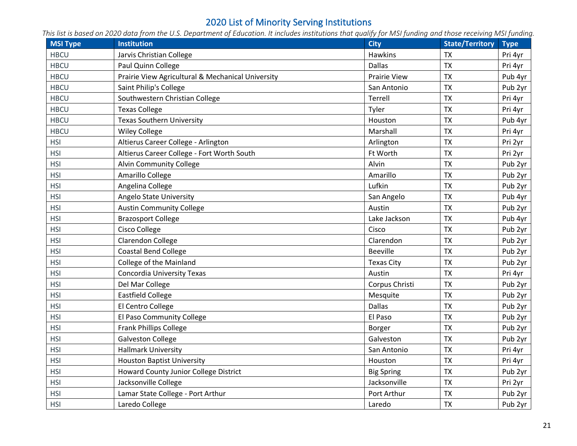| <b>MSI Type</b> | <b>Institution</b>                                | <b>City</b>         | <b>State/Territory</b> | <b>Type</b> |
|-----------------|---------------------------------------------------|---------------------|------------------------|-------------|
| <b>HBCU</b>     | Jarvis Christian College                          | Hawkins             | <b>TX</b>              | Pri 4yr     |
| <b>HBCU</b>     | Paul Quinn College                                | <b>Dallas</b>       | <b>TX</b>              | Pri 4yr     |
| <b>HBCU</b>     | Prairie View Agricultural & Mechanical University | <b>Prairie View</b> | <b>TX</b>              | Pub 4yr     |
| <b>HBCU</b>     | Saint Philip's College                            | San Antonio         | <b>TX</b>              | Pub 2yr     |
| <b>HBCU</b>     | Southwestern Christian College                    | Terrell             | <b>TX</b>              | Pri 4yr     |
| <b>HBCU</b>     | <b>Texas College</b>                              | Tyler               | <b>TX</b>              | Pri 4yr     |
| <b>HBCU</b>     | <b>Texas Southern University</b>                  | Houston             | <b>TX</b>              | Pub 4yr     |
| <b>HBCU</b>     | <b>Wiley College</b>                              | Marshall            | <b>TX</b>              | Pri 4yr     |
| <b>HSI</b>      | Altierus Career College - Arlington               | Arlington           | <b>TX</b>              | Pri 2yr     |
| <b>HSI</b>      | Altierus Career College - Fort Worth South        | Ft Worth            | <b>TX</b>              | Pri 2yr     |
| <b>HSI</b>      | <b>Alvin Community College</b>                    | Alvin               | <b>TX</b>              | Pub 2yr     |
| <b>HSI</b>      | Amarillo College                                  | Amarillo            | <b>TX</b>              | Pub 2yr     |
| <b>HSI</b>      | Angelina College                                  | Lufkin              | <b>TX</b>              | Pub 2yr     |
| <b>HSI</b>      | <b>Angelo State University</b>                    | San Angelo          | <b>TX</b>              | Pub 4yr     |
| <b>HSI</b>      | <b>Austin Community College</b>                   | Austin              | <b>TX</b>              | Pub 2yr     |
| <b>HSI</b>      | <b>Brazosport College</b>                         | Lake Jackson        | <b>TX</b>              | Pub 4yr     |
| <b>HSI</b>      | <b>Cisco College</b>                              | Cisco               | <b>TX</b>              | Pub 2yr     |
| <b>HSI</b>      | <b>Clarendon College</b>                          | Clarendon           | <b>TX</b>              | Pub 2yr     |
| <b>HSI</b>      | <b>Coastal Bend College</b>                       | Beeville            | <b>TX</b>              | Pub 2yr     |
| <b>HSI</b>      | College of the Mainland                           | <b>Texas City</b>   | <b>TX</b>              | Pub 2yr     |
| <b>HSI</b>      | Concordia University Texas                        | Austin              | <b>TX</b>              | Pri 4yr     |
| <b>HSI</b>      | Del Mar College                                   | Corpus Christi      | <b>TX</b>              | Pub 2yr     |
| <b>HSI</b>      | <b>Eastfield College</b>                          | Mesquite            | <b>TX</b>              | Pub 2yr     |
| <b>HSI</b>      | El Centro College                                 | <b>Dallas</b>       | <b>TX</b>              | Pub 2yr     |
| <b>HSI</b>      | El Paso Community College                         | El Paso             | <b>TX</b>              | Pub 2yr     |
| <b>HSI</b>      | <b>Frank Phillips College</b>                     | Borger              | <b>TX</b>              | Pub 2yr     |
| <b>HSI</b>      | <b>Galveston College</b>                          | Galveston           | <b>TX</b>              | Pub 2yr     |
| <b>HSI</b>      | <b>Hallmark University</b>                        | San Antonio         | <b>TX</b>              | Pri 4yr     |
| <b>HSI</b>      | <b>Houston Baptist University</b>                 | Houston             | <b>TX</b>              | Pri 4yr     |
| <b>HSI</b>      | Howard County Junior College District             | <b>Big Spring</b>   | <b>TX</b>              | Pub 2yr     |
| <b>HSI</b>      | Jacksonville College                              | Jacksonville        | <b>TX</b>              | Pri 2yr     |
| <b>HSI</b>      | Lamar State College - Port Arthur                 | Port Arthur         | <b>TX</b>              | Pub 2yr     |
| <b>HSI</b>      | Laredo College                                    | Laredo              | <b>TX</b>              | Pub 2yr     |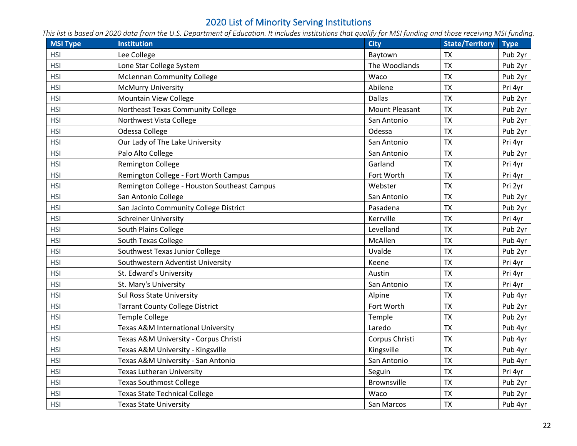| <b>MSI Type</b> | <b>Institution</b>                           | <b>City</b>           | <b>State/Territory</b> | <b>Type</b> |
|-----------------|----------------------------------------------|-----------------------|------------------------|-------------|
| <b>HSI</b>      | Lee College                                  | Baytown               | <b>TX</b>              | Pub 2yr     |
| <b>HSI</b>      | Lone Star College System                     | The Woodlands         | <b>TX</b>              | Pub 2yr     |
| <b>HSI</b>      | <b>McLennan Community College</b>            | Waco                  | <b>TX</b>              | Pub 2yr     |
| <b>HSI</b>      | <b>McMurry University</b>                    | Abilene               | <b>TX</b>              | Pri 4yr     |
| <b>HSI</b>      | <b>Mountain View College</b>                 | <b>Dallas</b>         | <b>TX</b>              | Pub 2yr     |
| <b>HSI</b>      | Northeast Texas Community College            | <b>Mount Pleasant</b> | <b>TX</b>              | Pub 2yr     |
| <b>HSI</b>      | Northwest Vista College                      | San Antonio           | <b>TX</b>              | Pub 2yr     |
| <b>HSI</b>      | Odessa College                               | Odessa                | <b>TX</b>              | Pub 2yr     |
| <b>HSI</b>      | Our Lady of The Lake University              | San Antonio           | <b>TX</b>              | Pri 4yr     |
| <b>HSI</b>      | Palo Alto College                            | San Antonio           | <b>TX</b>              | Pub 2yr     |
| <b>HSI</b>      | <b>Remington College</b>                     | Garland               | <b>TX</b>              | Pri 4yr     |
| <b>HSI</b>      | Remington College - Fort Worth Campus        | Fort Worth            | <b>TX</b>              | Pri 4yr     |
| <b>HSI</b>      | Remington College - Houston Southeast Campus | Webster               | <b>TX</b>              | Pri 2yr     |
| <b>HSI</b>      | San Antonio College                          | San Antonio           | <b>TX</b>              | Pub 2yr     |
| <b>HSI</b>      | San Jacinto Community College District       | Pasadena              | <b>TX</b>              | Pub 2yr     |
| <b>HSI</b>      | <b>Schreiner University</b>                  | Kerrville             | <b>TX</b>              | Pri 4yr     |
| <b>HSI</b>      | South Plains College                         | Levelland             | <b>TX</b>              | Pub 2yr     |
| <b>HSI</b>      | South Texas College                          | McAllen               | <b>TX</b>              | Pub 4yr     |
| <b>HSI</b>      | Southwest Texas Junior College               | Uvalde                | <b>TX</b>              | Pub 2yr     |
| <b>HSI</b>      | Southwestern Adventist University            | Keene                 | <b>TX</b>              | Pri 4yr     |
| <b>HSI</b>      | St. Edward's University                      | Austin                | <b>TX</b>              | Pri 4yr     |
| <b>HSI</b>      | St. Mary's University                        | San Antonio           | <b>TX</b>              | Pri 4yr     |
| <b>HSI</b>      | <b>Sul Ross State University</b>             | Alpine                | <b>TX</b>              | Pub 4yr     |
| <b>HSI</b>      | <b>Tarrant County College District</b>       | Fort Worth            | <b>TX</b>              | Pub 2yr     |
| <b>HSI</b>      | <b>Temple College</b>                        | Temple                | <b>TX</b>              | Pub 2yr     |
| <b>HSI</b>      | Texas A&M International University           | Laredo                | <b>TX</b>              | Pub 4yr     |
| <b>HSI</b>      | Texas A&M University - Corpus Christi        | Corpus Christi        | <b>TX</b>              | Pub 4yr     |
| <b>HSI</b>      | Texas A&M University - Kingsville            | Kingsville            | <b>TX</b>              | Pub 4yr     |
| <b>HSI</b>      | Texas A&M University - San Antonio           | San Antonio           | <b>TX</b>              | Pub 4yr     |
| <b>HSI</b>      | <b>Texas Lutheran University</b>             | Seguin                | <b>TX</b>              | Pri 4yr     |
| <b>HSI</b>      | <b>Texas Southmost College</b>               | Brownsville           | <b>TX</b>              | Pub 2yr     |
| <b>HSI</b>      | <b>Texas State Technical College</b>         | Waco                  | <b>TX</b>              | Pub 2yr     |
| <b>HSI</b>      | <b>Texas State University</b>                | San Marcos            | <b>TX</b>              | Pub 4yr     |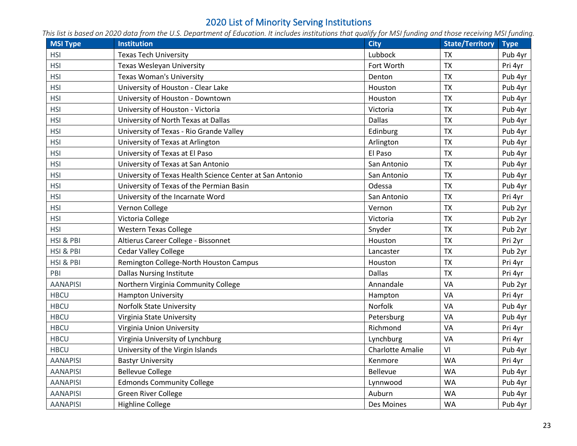| <b>MSI Type</b> | <b>Institution</b>                                       | <b>City</b>             | <b>State/Territory</b> | <b>Type</b> |
|-----------------|----------------------------------------------------------|-------------------------|------------------------|-------------|
| <b>HSI</b>      | <b>Texas Tech University</b>                             | Lubbock                 | <b>TX</b>              | Pub 4yr     |
| <b>HSI</b>      | <b>Texas Wesleyan University</b>                         | Fort Worth              | <b>TX</b>              | Pri 4yr     |
| <b>HSI</b>      | <b>Texas Woman's University</b>                          | Denton                  | <b>TX</b>              | Pub 4yr     |
| <b>HSI</b>      | University of Houston - Clear Lake                       | Houston                 | <b>TX</b>              | Pub 4yr     |
| <b>HSI</b>      | University of Houston - Downtown                         | Houston                 | <b>TX</b>              | Pub 4yr     |
| <b>HSI</b>      | University of Houston - Victoria                         | Victoria                | <b>TX</b>              | Pub 4yr     |
| <b>HSI</b>      | University of North Texas at Dallas                      | Dallas                  | <b>TX</b>              | Pub 4yr     |
| <b>HSI</b>      | University of Texas - Rio Grande Valley                  | Edinburg                | <b>TX</b>              | Pub 4yr     |
| <b>HSI</b>      | University of Texas at Arlington                         | Arlington               | <b>TX</b>              | Pub 4yr     |
| <b>HSI</b>      | University of Texas at El Paso                           | El Paso                 | <b>TX</b>              | Pub 4yr     |
| <b>HSI</b>      | University of Texas at San Antonio                       | San Antonio             | <b>TX</b>              | Pub 4yr     |
| <b>HSI</b>      | University of Texas Health Science Center at San Antonio | San Antonio             | <b>TX</b>              | Pub 4yr     |
| <b>HSI</b>      | University of Texas of the Permian Basin                 | Odessa                  | <b>TX</b>              | Pub 4yr     |
| <b>HSI</b>      | University of the Incarnate Word                         | San Antonio             | TX                     | Pri 4yr     |
| <b>HSI</b>      | Vernon College                                           | Vernon                  | <b>TX</b>              | Pub 2yr     |
| <b>HSI</b>      | Victoria College                                         | Victoria                | <b>TX</b>              | Pub 2yr     |
| <b>HSI</b>      | <b>Western Texas College</b>                             | Snyder                  | <b>TX</b>              | Pub 2yr     |
| HSI & PBI       | Altierus Career College - Bissonnet                      | Houston                 | <b>TX</b>              | Pri 2yr     |
| HSI & PBI       | <b>Cedar Valley College</b>                              | Lancaster               | TX                     | Pub 2yr     |
| HSI & PBI       | Remington College-North Houston Campus                   | Houston                 | <b>TX</b>              | Pri 4yr     |
| PBI             | <b>Dallas Nursing Institute</b>                          | <b>Dallas</b>           | <b>TX</b>              | Pri 4yr     |
| <b>AANAPISI</b> | Northern Virginia Community College                      | Annandale               | VA                     | Pub 2yr     |
| <b>HBCU</b>     | <b>Hampton University</b>                                | Hampton                 | VA                     | Pri 4yr     |
| <b>HBCU</b>     | <b>Norfolk State University</b>                          | Norfolk                 | VA                     | Pub 4yr     |
| <b>HBCU</b>     | Virginia State University                                | Petersburg              | VA                     | Pub 4yr     |
| <b>HBCU</b>     | Virginia Union University                                | Richmond                | VA                     | Pri 4yr     |
| <b>HBCU</b>     | Virginia University of Lynchburg                         | Lynchburg               | VA                     | Pri 4yr     |
| <b>HBCU</b>     | University of the Virgin Islands                         | <b>Charlotte Amalie</b> | VI                     | Pub 4yr     |
| <b>AANAPISI</b> | <b>Bastyr University</b>                                 | Kenmore                 | <b>WA</b>              | Pri 4yr     |
| <b>AANAPISI</b> | <b>Bellevue College</b>                                  | Bellevue                | <b>WA</b>              | Pub 4yr     |
| <b>AANAPISI</b> | <b>Edmonds Community College</b>                         | Lynnwood                | <b>WA</b>              | Pub 4yr     |
| <b>AANAPISI</b> | <b>Green River College</b>                               | Auburn                  | <b>WA</b>              | Pub 4yr     |
| <b>AANAPISI</b> | <b>Highline College</b>                                  | Des Moines              | <b>WA</b>              | Pub 4yr     |